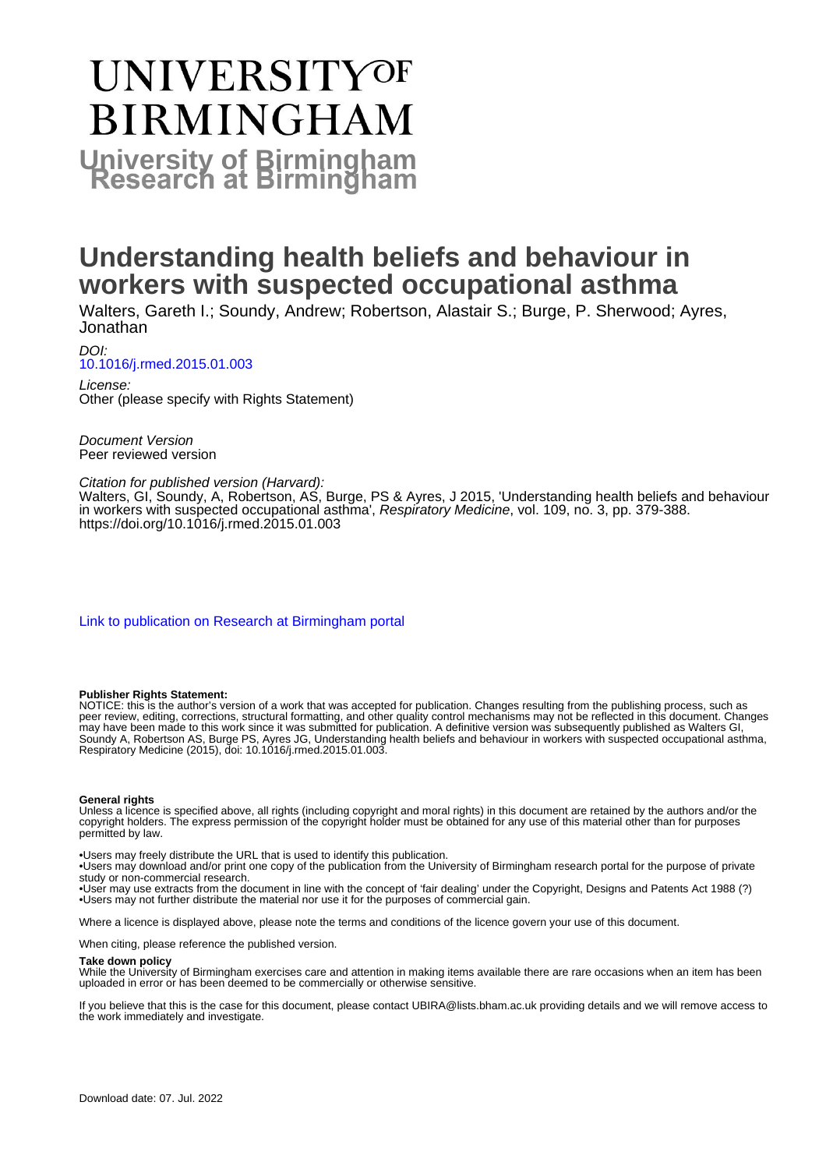# UNIVERSITYOF **BIRMINGHAM University of Birmingham**

# **Understanding health beliefs and behaviour in workers with suspected occupational asthma**

Walters, Gareth I.; Soundy, Andrew; Robertson, Alastair S.; Burge, P. Sherwood; Ayres, Jonathan

DOI: [10.1016/j.rmed.2015.01.003](https://doi.org/10.1016/j.rmed.2015.01.003)

License: Other (please specify with Rights Statement)

Document Version Peer reviewed version

## Citation for published version (Harvard):

Walters, GI, Soundy, A, Robertson, AS, Burge, PS & Ayres, J 2015, 'Understanding health beliefs and behaviour in workers with suspected occupational asthma', Respiratory Medicine, vol. 109, no. 3, pp. 379-388. <https://doi.org/10.1016/j.rmed.2015.01.003>

[Link to publication on Research at Birmingham portal](https://birmingham.elsevierpure.com/en/publications/7f801977-52ff-4aeb-8fb6-bc5d434fec1c)

#### **Publisher Rights Statement:**

NOTICE: this is the author's version of a work that was accepted for publication. Changes resulting from the publishing process, such as peer review, editing, corrections, structural formatting, and other quality control mechanisms may not be reflected in this document. Changes may have been made to this work since it was submitted for publication. A definitive version was subsequently published as Walters GI, Soundy A, Robertson AS, Burge PS, Ayres JG, Understanding health beliefs and behaviour in workers with suspected occupational asthma, Respiratory Medicine (2015), doi: 10.1016/j.rmed.2015.01.003.

#### **General rights**

Unless a licence is specified above, all rights (including copyright and moral rights) in this document are retained by the authors and/or the copyright holders. The express permission of the copyright holder must be obtained for any use of this material other than for purposes permitted by law.

• Users may freely distribute the URL that is used to identify this publication.

• Users may download and/or print one copy of the publication from the University of Birmingham research portal for the purpose of private study or non-commercial research.

• User may use extracts from the document in line with the concept of 'fair dealing' under the Copyright, Designs and Patents Act 1988 (?) • Users may not further distribute the material nor use it for the purposes of commercial gain.

Where a licence is displayed above, please note the terms and conditions of the licence govern your use of this document.

When citing, please reference the published version.

#### **Take down policy**

While the University of Birmingham exercises care and attention in making items available there are rare occasions when an item has been uploaded in error or has been deemed to be commercially or otherwise sensitive.

If you believe that this is the case for this document, please contact UBIRA@lists.bham.ac.uk providing details and we will remove access to the work immediately and investigate.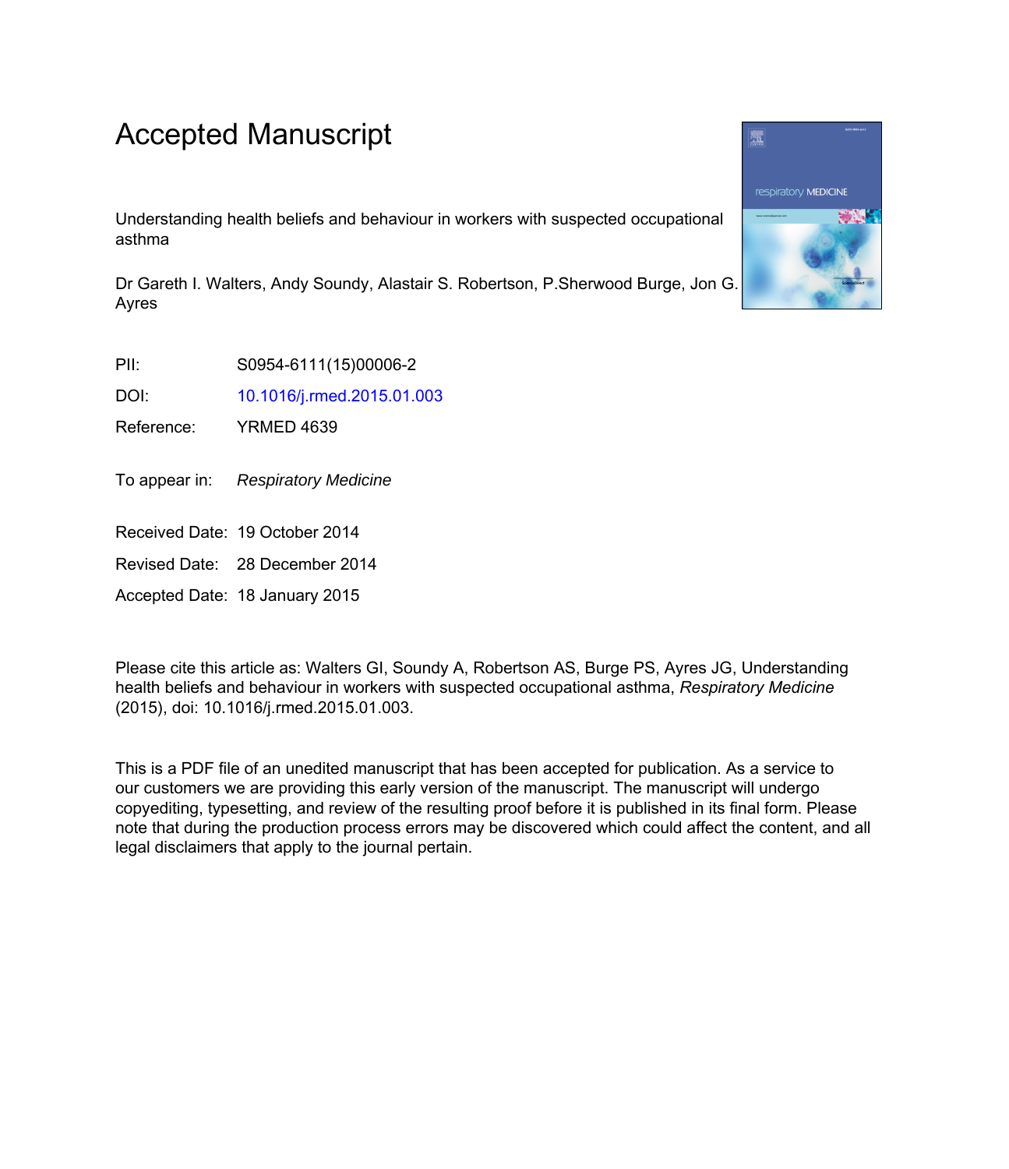# Accepted Manuscript

Understanding health beliefs and behaviour in workers with suspected occupational asthma

Dr Gareth I. Walters, Andy Soundy, Alastair S. Robertson, P.Sherwood Burge, Jon G. Ayres

PII: S0954-6111(15)00006-2

DOI: [10.1016/j.rmed.2015.01.003](http://dx.doi.org/10.1016/j.rmed.2015.01.003)

Reference: YRMED 4639

To appear in: Respiratory Medicine

Received Date: 19 October 2014

Revised Date: 28 December 2014

Accepted Date: 18 January 2015

Please cite this article as: Walters GI, Soundy A, Robertson AS, Burge PS, Ayres JG, Understanding health beliefs and behaviour in workers with suspected occupational asthma, *Respiratory Medicine* (2015), doi: 10.1016/j.rmed.2015.01.003.

This is a PDF file of an unedited manuscript that has been accepted for publication. As a service to our customers we are providing this early version of the manuscript. The manuscript will undergo copyediting, typesetting, and review of the resulting proof before it is published in its final form. Please note that during the production process errors may be discovered which could affect the content, and all legal disclaimers that apply to the journal pertain.

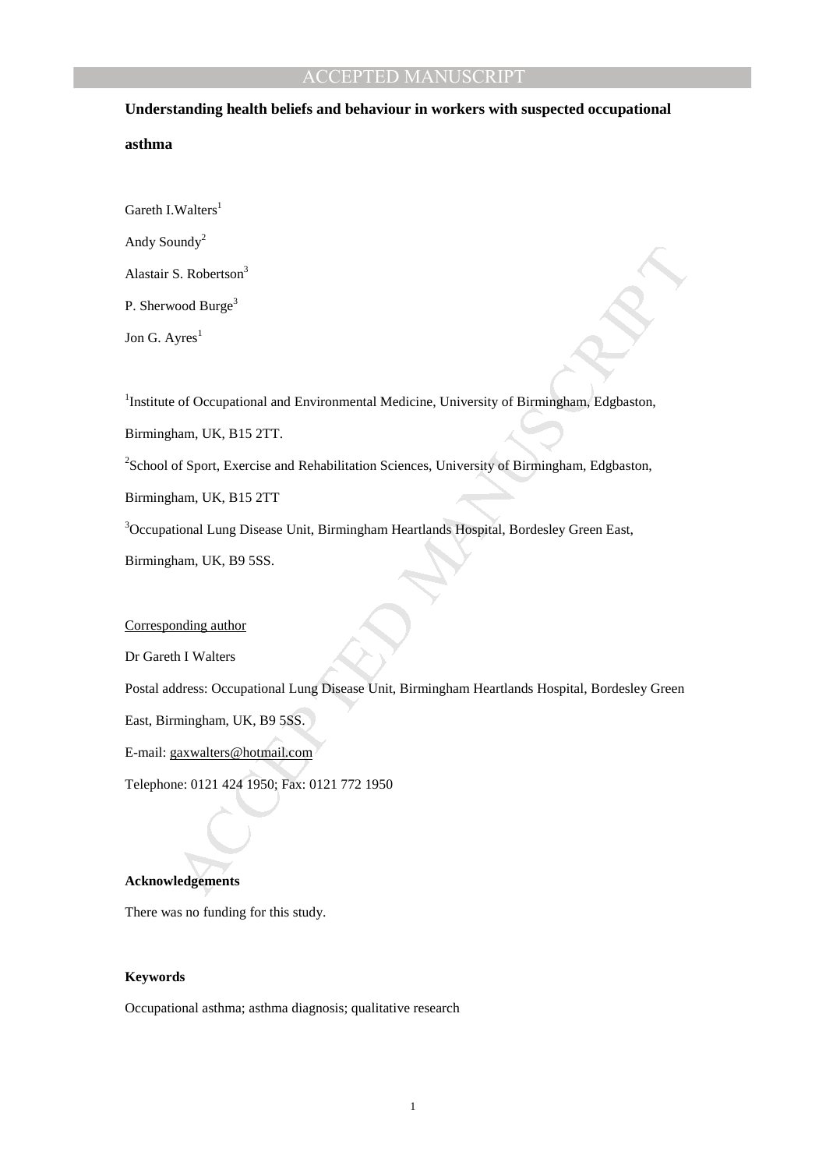# **Understanding health beliefs and behaviour in workers with suspected occupational asthma**

Gareth I.Walters<sup>1</sup>

Andy Soundy<sup>2</sup>

Alastair S. Robertson<sup>3</sup>

P. Sherwood Burge<sup>3</sup>

Jon G.  $A$ yres<sup>1</sup>

<sup>1</sup>Institute of Occupational and Environmental Medicine, University of Birmingham, Edgbaston,

Birmingham, UK, B15 2TT.

<sup>2</sup>School of Sport, Exercise and Rehabilitation Sciences, University of Birmingham, Edgbaston,

Birmingham, UK, B15 2TT

<sup>3</sup>Occupational Lung Disease Unit, Birmingham Heartlands Hospital, Bordesley Green East,

Birmingham, UK, B9 5SS.

# Corresponding author

Dr Gareth I Walters

untay<br>
sol S. Robertson<sup>3</sup><br>
vood Burge<sup>1</sup><br>
or of Occupational and Environmental Medicine, University of Birmingham, Edgbaston,<br>
ham, UK, B15 2TT.<br>
of Sport, Exercise and Rehabilitation Sciences, University of Birmingham, E Postal address: Occupational Lung Disease Unit, Birmingham Heartlands Hospital, Bordesley Green

East, Birmingham, UK, B9 5SS.

E-mail: gaxwalters@hotmail.com

Telephone: 0121 424 1950; Fax: 0121 772 1950

# **Acknowledgements**

There was no funding for this study.

#### **Keywords**

Occupational asthma; asthma diagnosis; qualitative research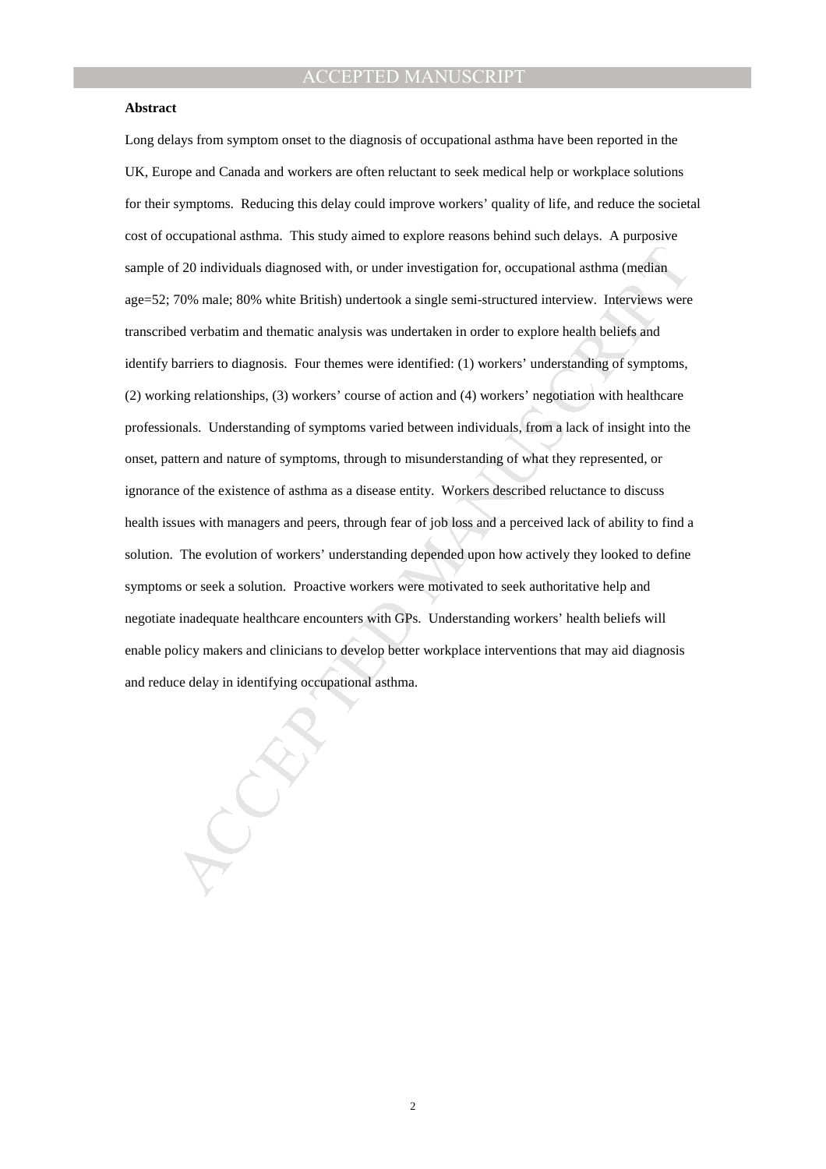### **Abstract**

of 20 individuals diagnosed with, or under investigation for, occupational asthma (median<br>70% male: 80% white British) undertook a single semi-structured interview. Interviews were<br>ded verbatim and thematic analysis was un Long delays from symptom onset to the diagnosis of occupational asthma have been reported in the UK, Europe and Canada and workers are often reluctant to seek medical help or workplace solutions for their symptoms. Reducing this delay could improve workers' quality of life, and reduce the societal cost of occupational asthma. This study aimed to explore reasons behind such delays. A purposive sample of 20 individuals diagnosed with, or under investigation for, occupational asthma (median age=52; 70% male; 80% white British) undertook a single semi-structured interview. Interviews were transcribed verbatim and thematic analysis was undertaken in order to explore health beliefs and identify barriers to diagnosis. Four themes were identified: (1) workers' understanding of symptoms, (2) working relationships, (3) workers' course of action and (4) workers' negotiation with healthcare professionals. Understanding of symptoms varied between individuals, from a lack of insight into the onset, pattern and nature of symptoms, through to misunderstanding of what they represented, or ignorance of the existence of asthma as a disease entity. Workers described reluctance to discuss health issues with managers and peers, through fear of job loss and a perceived lack of ability to find a solution. The evolution of workers' understanding depended upon how actively they looked to define symptoms or seek a solution. Proactive workers were motivated to seek authoritative help and negotiate inadequate healthcare encounters with GPs. Understanding workers' health beliefs will enable policy makers and clinicians to develop better workplace interventions that may aid diagnosis and reduce delay in identifying occupational asthma.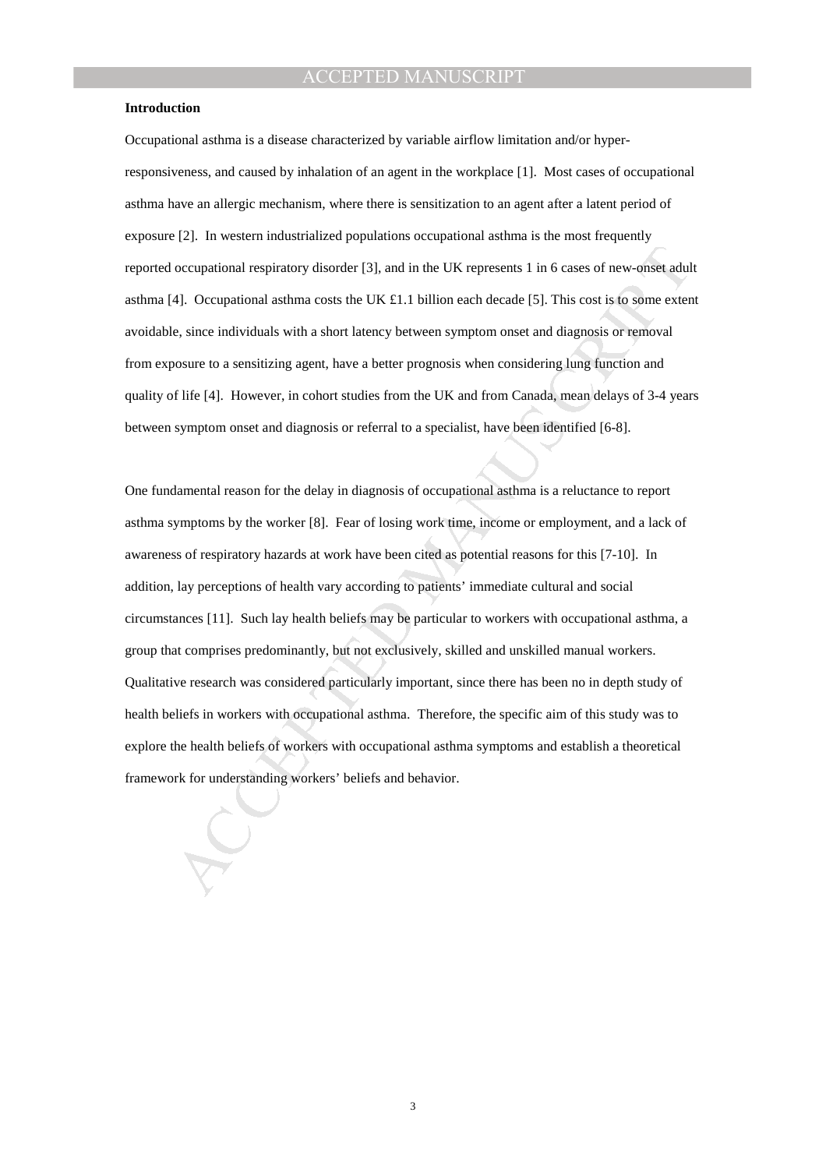#### **Introduction**

Occupational asthma is a disease characterized by variable airflow limitation and/or hyperresponsiveness, and caused by inhalation of an agent in the workplace [1]. Most cases of occupational asthma have an allergic mechanism, where there is sensitization to an agent after a latent period of exposure [2]. In western industrialized populations occupational asthma is the most frequently reported occupational respiratory disorder [3], and in the UK represents 1 in 6 cases of new-onset adult asthma [4]. Occupational asthma costs the UK £1.1 billion each decade [5]. This cost is to some extent avoidable, since individuals with a short latency between symptom onset and diagnosis or removal from exposure to a sensitizing agent, have a better prognosis when considering lung function and quality of life [4]. However, in cohort studies from the UK and from Canada, mean delays of 3-4 years between symptom onset and diagnosis or referral to a specialist, have been identified [6-8].

occupational respiratory disorder [3], and in the UK represents 1 in 6 cases of new-onset adul<br>4]. Occupational asthma costs the UK £1.1 billion each decade [5]. This cost is to some exter-<br>to, since individuals with a sho One fundamental reason for the delay in diagnosis of occupational asthma is a reluctance to report asthma symptoms by the worker [8]. Fear of losing work time, income or employment, and a lack of awareness of respiratory hazards at work have been cited as potential reasons for this [7-10]. In addition, lay perceptions of health vary according to patients' immediate cultural and social circumstances [11]. Such lay health beliefs may be particular to workers with occupational asthma, a group that comprises predominantly, but not exclusively, skilled and unskilled manual workers. Qualitative research was considered particularly important, since there has been no in depth study of health beliefs in workers with occupational asthma. Therefore, the specific aim of this study was to explore the health beliefs of workers with occupational asthma symptoms and establish a theoretical framework for understanding workers' beliefs and behavior.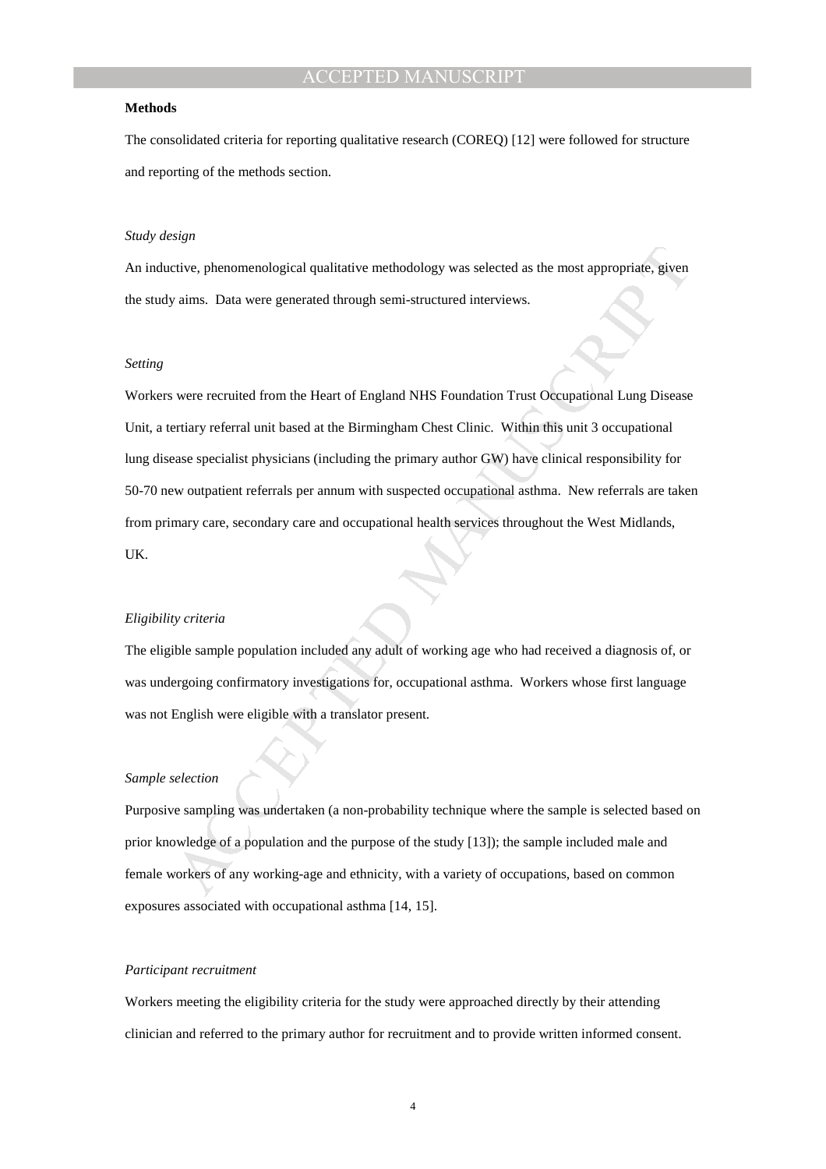#### **Methods**

The consolidated criteria for reporting qualitative research (COREQ) [12] were followed for structure and reporting of the methods section.

# *Study design*

An inductive, phenomenological qualitative methodology was selected as the most appropriate, given the study aims. Data were generated through semi-structured interviews.

# *Setting*

erive, phenomenological qualitative methodology was selected as the most appropriate, given<br>varis. Data were generated through semi-structured interviews.<br>We are recruited from the Heart of England NHS Foundation Trust Occ Workers were recruited from the Heart of England NHS Foundation Trust Occupational Lung Disease Unit, a tertiary referral unit based at the Birmingham Chest Clinic. Within this unit 3 occupational lung disease specialist physicians (including the primary author GW) have clinical responsibility for 50-70 new outpatient referrals per annum with suspected occupational asthma. New referrals are taken from primary care, secondary care and occupational health services throughout the West Midlands, UK.

#### *Eligibility criteria*

The eligible sample population included any adult of working age who had received a diagnosis of, or was undergoing confirmatory investigations for, occupational asthma. Workers whose first language was not English were eligible with a translator present.

#### *Sample selection*

Purposive sampling was undertaken (a non-probability technique where the sample is selected based on prior knowledge of a population and the purpose of the study [13]); the sample included male and female workers of any working-age and ethnicity, with a variety of occupations, based on common exposures associated with occupational asthma [14, 15].

#### *Participant recruitment*

Workers meeting the eligibility criteria for the study were approached directly by their attending clinician and referred to the primary author for recruitment and to provide written informed consent.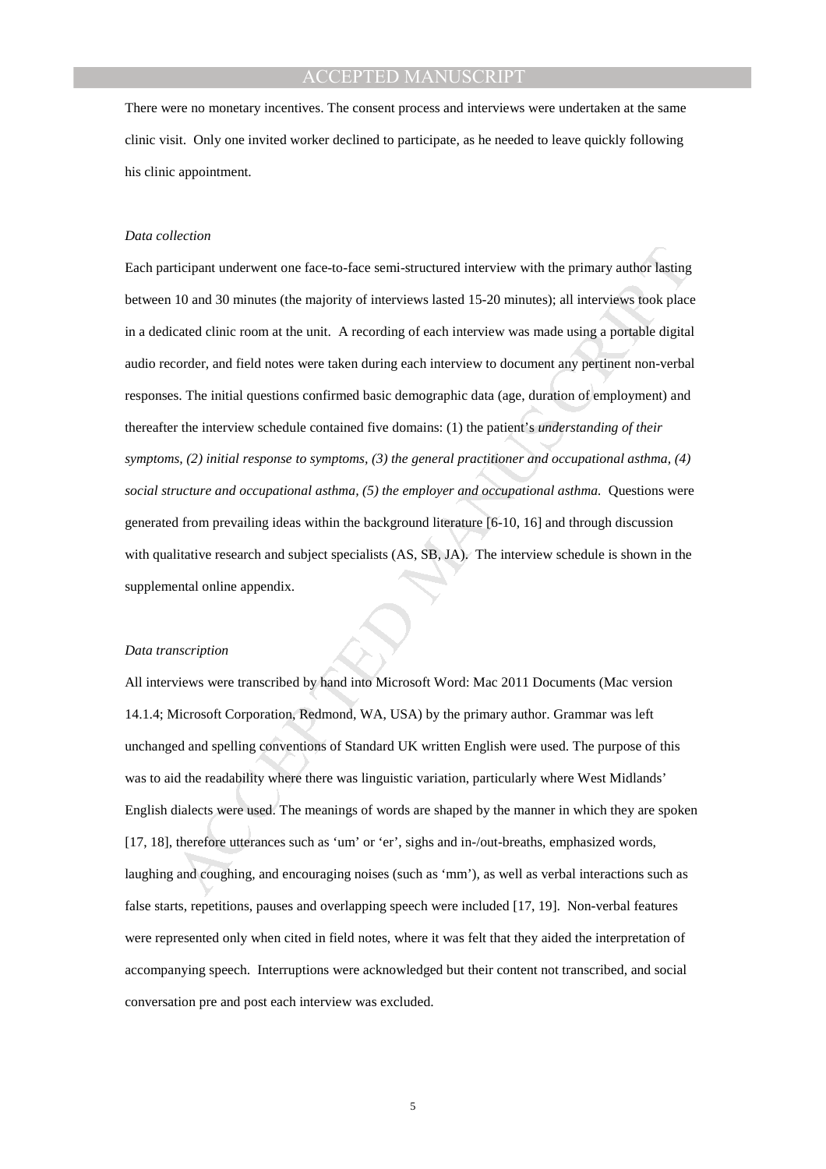There were no monetary incentives. The consent process and interviews were undertaken at the same clinic visit. Only one invited worker declined to participate, as he needed to leave quickly following his clinic appointment.

#### *Data collection*

ricipant underwent one face-to-face semi-structured interview with the primary author hasting<br>10 and 30 minutes (the majority of interviews lasted 15-20 minutes); all interviews took place<br>teated ellnic room at the unit. A Each participant underwent one face-to-face semi-structured interview with the primary author lasting between 10 and 30 minutes (the majority of interviews lasted 15-20 minutes); all interviews took place in a dedicated clinic room at the unit. A recording of each interview was made using a portable digital audio recorder, and field notes were taken during each interview to document any pertinent non-verbal responses. The initial questions confirmed basic demographic data (age, duration of employment) and thereafter the interview schedule contained five domains: (1) the patient's *understanding of their symptoms, (2) initial response to symptoms, (3) the general practitioner and occupational asthma, (4) social structure and occupational asthma, (5) the employer and occupational asthma.* Questions were generated from prevailing ideas within the background literature [6-10, 16] and through discussion with qualitative research and subject specialists (AS, SB, JA). The interview schedule is shown in the supplemental online appendix.

#### *Data transcription*

All interviews were transcribed by hand into Microsoft Word: Mac 2011 Documents (Mac version 14.1.4; Microsoft Corporation, Redmond, WA, USA) by the primary author. Grammar was left unchanged and spelling conventions of Standard UK written English were used. The purpose of this was to aid the readability where there was linguistic variation, particularly where West Midlands' English dialects were used. The meanings of words are shaped by the manner in which they are spoken [17, 18], therefore utterances such as 'um' or 'er', sighs and in-/out-breaths, emphasized words, laughing and coughing, and encouraging noises (such as 'mm'), as well as verbal interactions such as false starts, repetitions, pauses and overlapping speech were included [17, 19]. Non-verbal features were represented only when cited in field notes, where it was felt that they aided the interpretation of accompanying speech. Interruptions were acknowledged but their content not transcribed, and social conversation pre and post each interview was excluded.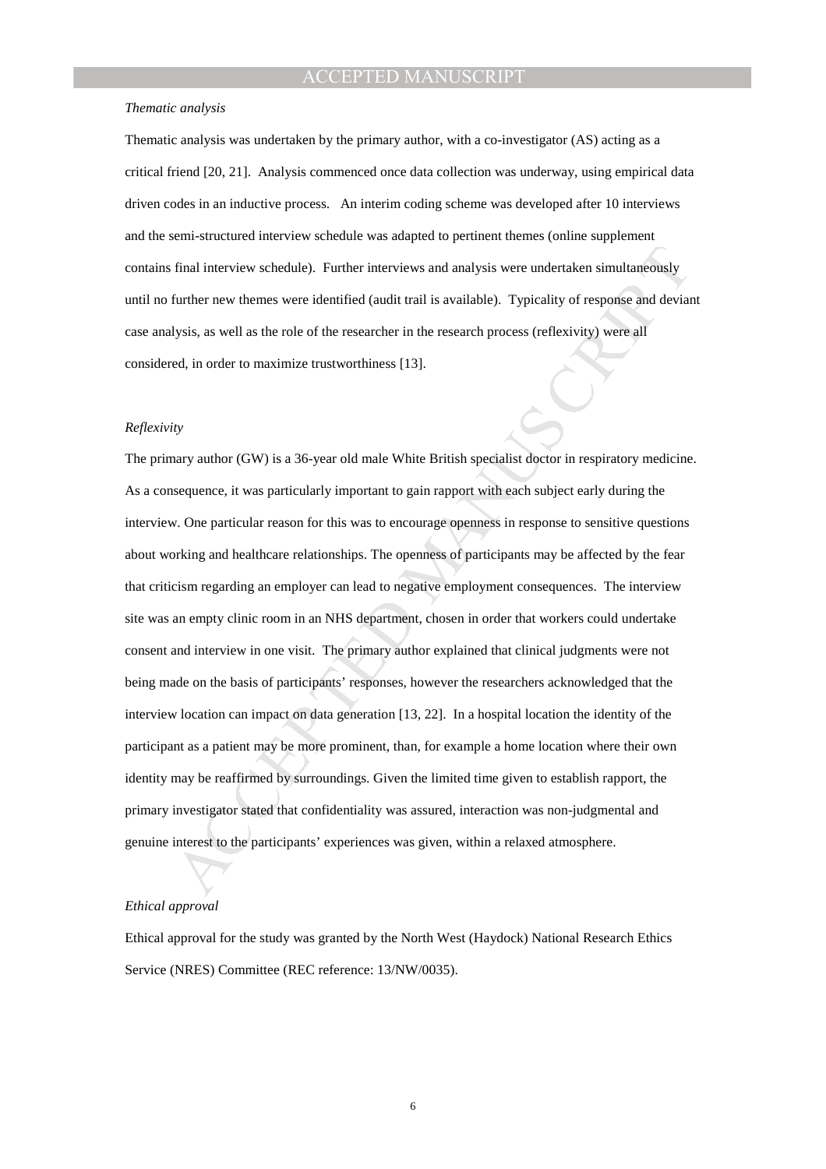#### *Thematic analysis*

Thematic analysis was undertaken by the primary author, with a co-investigator (AS) acting as a critical friend [20, 21]. Analysis commenced once data collection was underway, using empirical data driven codes in an inductive process. An interim coding scheme was developed after 10 interviews and the semi-structured interview schedule was adapted to pertinent themes (online supplement contains final interview schedule). Further interviews and analysis were undertaken simultaneously until no further new themes were identified (audit trail is available). Typicality of response and deviant case analysis, as well as the role of the researcher in the research process (reflexivity) were all considered, in order to maximize trustworthiness [13].

#### *Reflexivity*

final interview schedule). Further interviews and analysis were undertaken simultaneously<br>further new themes were identified (and<br>it mail is available). Typicality of response and deviatives<br>lysis, as well as the role of t The primary author (GW) is a 36-year old male White British specialist doctor in respiratory medicine. As a consequence, it was particularly important to gain rapport with each subject early during the interview. One particular reason for this was to encourage openness in response to sensitive questions about working and healthcare relationships. The openness of participants may be affected by the fear that criticism regarding an employer can lead to negative employment consequences. The interview site was an empty clinic room in an NHS department, chosen in order that workers could undertake consent and interview in one visit. The primary author explained that clinical judgments were not being made on the basis of participants' responses, however the researchers acknowledged that the interview location can impact on data generation [13, 22]. In a hospital location the identity of the participant as a patient may be more prominent, than, for example a home location where their own identity may be reaffirmed by surroundings. Given the limited time given to establish rapport, the primary investigator stated that confidentiality was assured, interaction was non-judgmental and genuine interest to the participants' experiences was given, within a relaxed atmosphere.

## *Ethical approval*

Ethical approval for the study was granted by the North West (Haydock) National Research Ethics Service (NRES) Committee (REC reference: 13/NW/0035).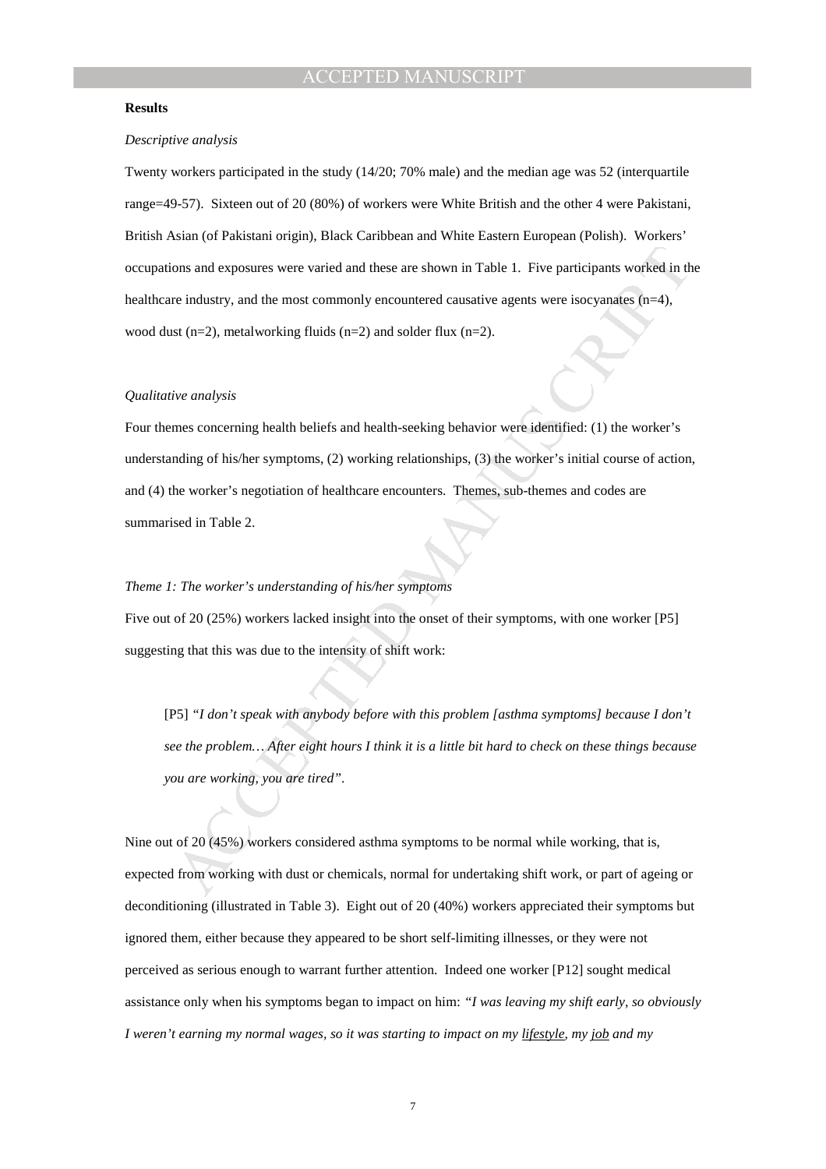### **Results**

### *Descriptive analysis*

Twenty workers participated in the study (14/20; 70% male) and the median age was 52 (interquartile range=49-57). Sixteen out of 20 (80%) of workers were White British and the other 4 were Pakistani, British Asian (of Pakistani origin), Black Caribbean and White Eastern European (Polish). Workers' occupations and exposures were varied and these are shown in Table 1. Five participants worked in the healthcare industry, and the most commonly encountered causative agents were isocyanates (n=4), wood dust  $(n=2)$ , metalworking fluids  $(n=2)$  and solder flux  $(n=2)$ .

#### *Qualitative analysis*

ons and exposures were varied and these are shown in Table 1. Five participants worked in the industry, and the most commonly encountered causative agents were isocyanates (n-4), <br>to tra-2), metalworking fluids (n=2) and Four themes concerning health beliefs and health-seeking behavior were identified: (1) the worker's understanding of his/her symptoms, (2) working relationships, (3) the worker's initial course of action, and (4) the worker's negotiation of healthcare encounters. Themes, sub-themes and codes are summarised in Table 2.

# *Theme 1: The worker's understanding of his/her symptoms*

Five out of 20 (25%) workers lacked insight into the onset of their symptoms, with one worker [P5] suggesting that this was due to the intensity of shift work:

[P5] *"I don't speak with anybody before with this problem [asthma symptoms] because I don't see the problem… After eight hours I think it is a little bit hard to check on these things because you are working, you are tired"*.

Nine out of 20 (45%) workers considered asthma symptoms to be normal while working, that is, expected from working with dust or chemicals, normal for undertaking shift work, or part of ageing or deconditioning (illustrated in Table 3). Eight out of 20 (40%) workers appreciated their symptoms but ignored them, either because they appeared to be short self-limiting illnesses, or they were not perceived as serious enough to warrant further attention. Indeed one worker [P12] sought medical assistance only when his symptoms began to impact on him: *"I was leaving my shift early, so obviously I* weren't earning my normal wages, so it was starting to impact on my lifestyle, my job and my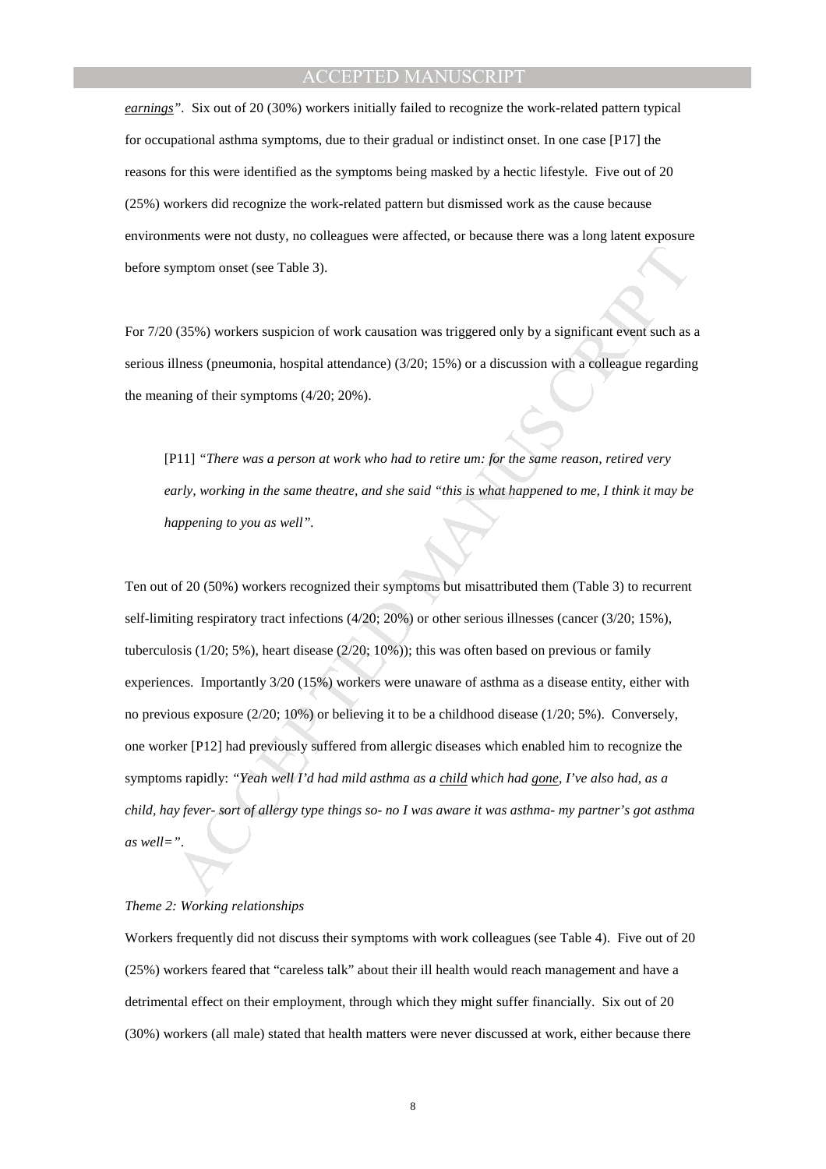*earnings".* Six out of 20 (30%) workers initially failed to recognize the work-related pattern typical for occupational asthma symptoms, due to their gradual or indistinct onset. In one case [P17] the reasons for this were identified as the symptoms being masked by a hectic lifestyle. Five out of 20 (25%) workers did recognize the work-related pattern but dismissed work as the cause because environments were not dusty, no colleagues were affected, or because there was a long latent exposure before symptom onset (see Table 3).

For 7/20 (35%) workers suspicion of work causation was triggered only by a significant event such as a serious illness (pneumonia, hospital attendance) (3/20; 15%) or a discussion with a colleague regarding the meaning of their symptoms (4/20; 20%).

[P11] *"There was a person at work who had to retire um: for the same reason, retired very early, working in the same theatre, and she said "this is what happened to me, I think it may be happening to you as well".* 

symptom onset (see Table 3).<br>
(135%) workers suspicion of work causation was triggered only by a significant event such as<br>
Illness (pneuroonia, hospital attendance) (3/20; 15%) or a discussion with a colleague regarding<br> Ten out of 20 (50%) workers recognized their symptoms but misattributed them (Table 3) to recurrent self-limiting respiratory tract infections (4/20; 20%) or other serious illnesses (cancer (3/20; 15%), tuberculosis (1/20; 5%), heart disease (2/20; 10%)); this was often based on previous or family experiences. Importantly 3/20 (15%) workers were unaware of asthma as a disease entity, either with no previous exposure (2/20; 10%) or believing it to be a childhood disease (1/20; 5%). Conversely, one worker [P12] had previously suffered from allergic diseases which enabled him to recognize the symptoms rapidly: *"Yeah well I'd had mild asthma as a child which had gone, I've also had, as a child, hay fever- sort of allergy type things so- no I was aware it was asthma- my partner's got asthma as well="*.

# *Theme 2: Working relationships*

Workers frequently did not discuss their symptoms with work colleagues (see Table 4). Five out of 20 (25%) workers feared that "careless talk" about their ill health would reach management and have a detrimental effect on their employment, through which they might suffer financially. Six out of 20 (30%) workers (all male) stated that health matters were never discussed at work, either because there

8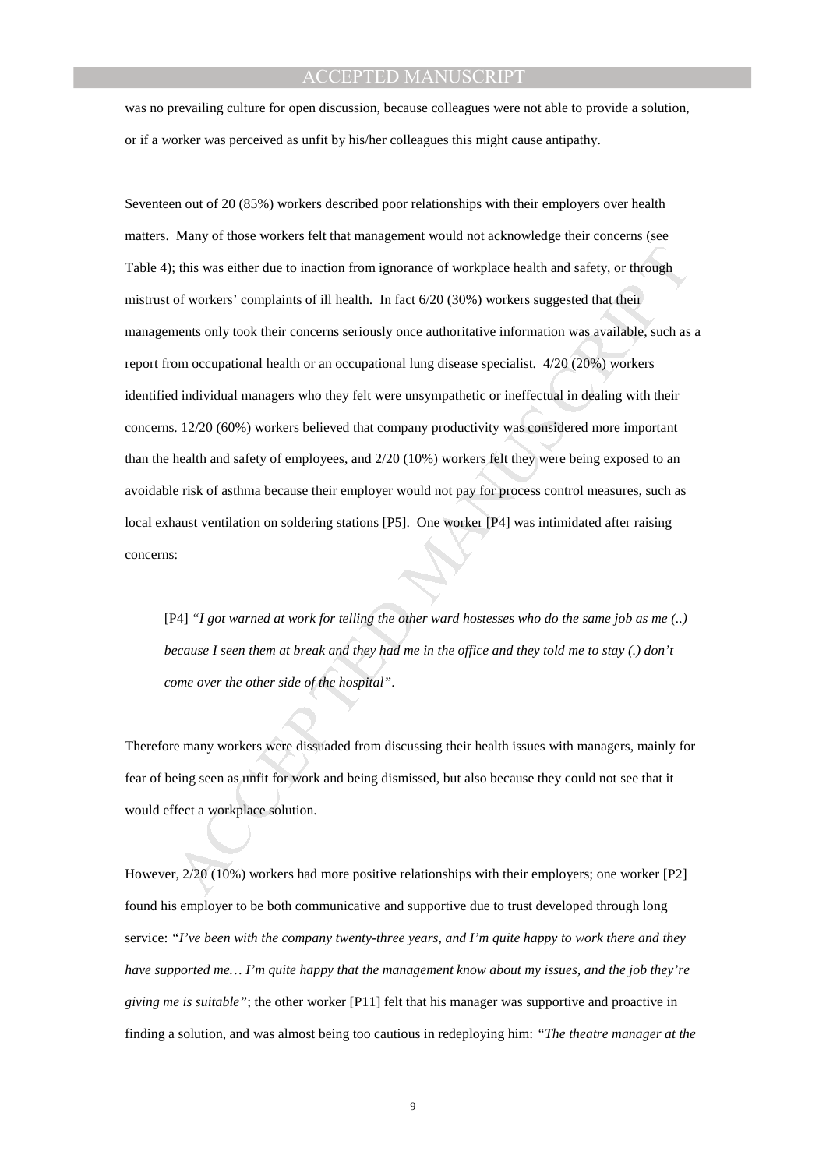was no prevailing culture for open discussion, because colleagues were not able to provide a solution, or if a worker was perceived as unfit by his/her colleagues this might cause antipathy.

; this was cither due to inaction from ignorance of workplace health and safety, or through<br>of workers' complaints of ill health. In fact 6/20 (30%) workers suggested that their<br>ments only took their concerns seriously on Seventeen out of 20 (85%) workers described poor relationships with their employers over health matters. Many of those workers felt that management would not acknowledge their concerns (see Table 4); this was either due to inaction from ignorance of workplace health and safety, or through mistrust of workers' complaints of ill health. In fact 6/20 (30%) workers suggested that their managements only took their concerns seriously once authoritative information was available, such as a report from occupational health or an occupational lung disease specialist. 4/20 (20%) workers identified individual managers who they felt were unsympathetic or ineffectual in dealing with their concerns. 12/20 (60%) workers believed that company productivity was considered more important than the health and safety of employees, and 2/20 (10%) workers felt they were being exposed to an avoidable risk of asthma because their employer would not pay for process control measures, such as local exhaust ventilation on soldering stations [P5]. One worker [P4] was intimidated after raising concerns:

[P4] *"I got warned at work for telling the other ward hostesses who do the same job as me (..) because I seen them at break and they had me in the office and they told me to stay (.) don't come over the other side of the hospital"*.

Therefore many workers were dissuaded from discussing their health issues with managers, mainly for fear of being seen as unfit for work and being dismissed, but also because they could not see that it would effect a workplace solution.

However, 2/20 (10%) workers had more positive relationships with their employers; one worker [P2] found his employer to be both communicative and supportive due to trust developed through long service: *"I've been with the company twenty-three years, and I'm quite happy to work there and they have supported me… I'm quite happy that the management know about my issues, and the job they're giving me is suitable"*; the other worker [P11] felt that his manager was supportive and proactive in finding a solution, and was almost being too cautious in redeploying him: *"The theatre manager at the*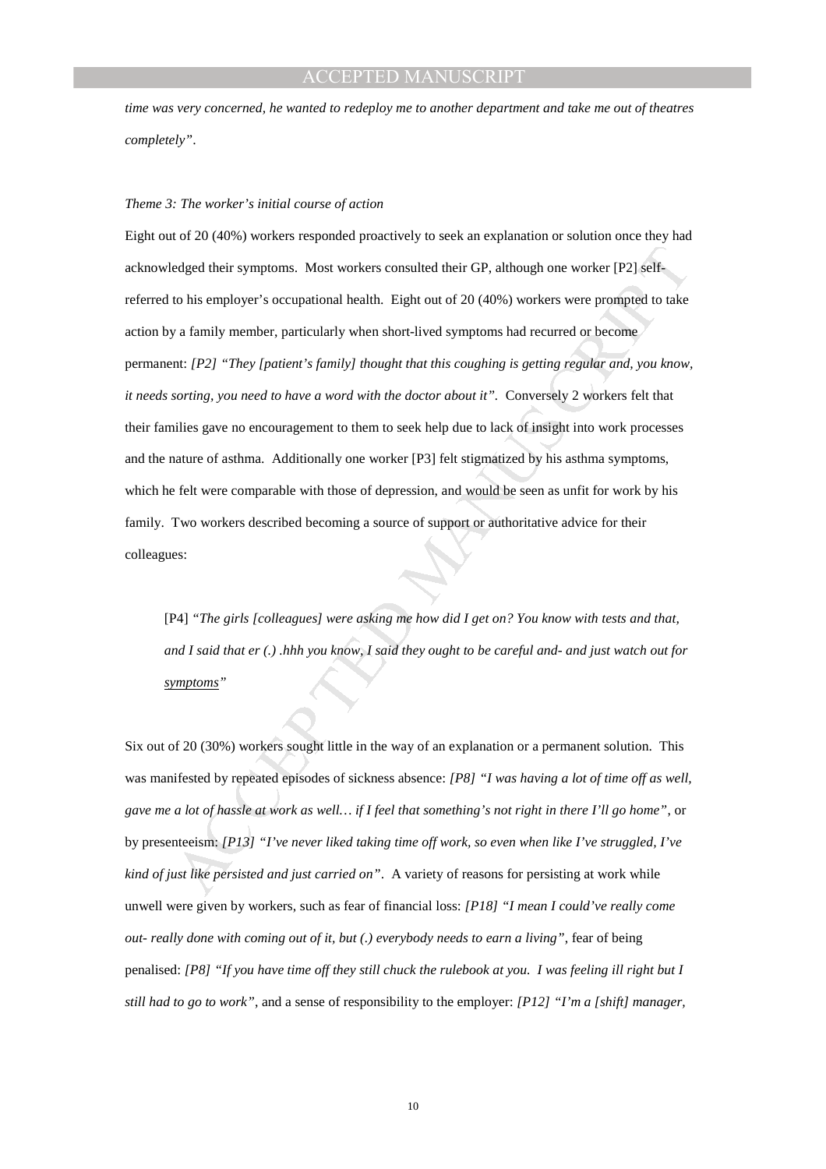*time was very concerned, he wanted to redeploy me to another department and take me out of theatres completely"*.

# *Theme 3: The worker's initial course of action*

edged their symptoms. Most workers consulted their GP, although one worker [P2] self-<br>to his employer's occupational health. Fight out of 20 (40%) workers were prompted to take<br>y a family member, particularly when short-l Eight out of 20 (40%) workers responded proactively to seek an explanation or solution once they had acknowledged their symptoms. Most workers consulted their GP, although one worker [P2] selfreferred to his employer's occupational health. Eight out of 20 (40%) workers were prompted to take action by a family member, particularly when short-lived symptoms had recurred or become permanent: *[P2] "They [patient's family] thought that this coughing is getting regular and, you know, it needs sorting, you need to have a word with the doctor about it".* Conversely 2 workers felt that their families gave no encouragement to them to seek help due to lack of insight into work processes and the nature of asthma. Additionally one worker [P3] felt stigmatized by his asthma symptoms, which he felt were comparable with those of depression, and would be seen as unfit for work by his family. Two workers described becoming a source of support or authoritative advice for their colleagues:

[P4] *"The girls [colleagues] were asking me how did I get on? You know with tests and that, and I said that er (.) .hhh you know, I said they ought to be careful and- and just watch out for symptoms"*

Six out of 20 (30%) workers sought little in the way of an explanation or a permanent solution. This was manifested by repeated episodes of sickness absence: *[P8] "I was having a lot of time off as well, gave me a lot of hassle at work as well… if I feel that something's not right in there I'll go home"*, or by presenteeism: *[P13] "I've never liked taking time off work, so even when like I've struggled, I've kind of just like persisted and just carried on"*. A variety of reasons for persisting at work while unwell were given by workers, such as fear of financial loss: *[P18] "I mean I could've really come out- really done with coming out of it, but (.) everybody needs to earn a living"*, fear of being penalised: *[P8] "If you have time off they still chuck the rulebook at you. I was feeling ill right but I still had to go to work"*, and a sense of responsibility to the employer: *[P12] "I'm a [shift] manager,*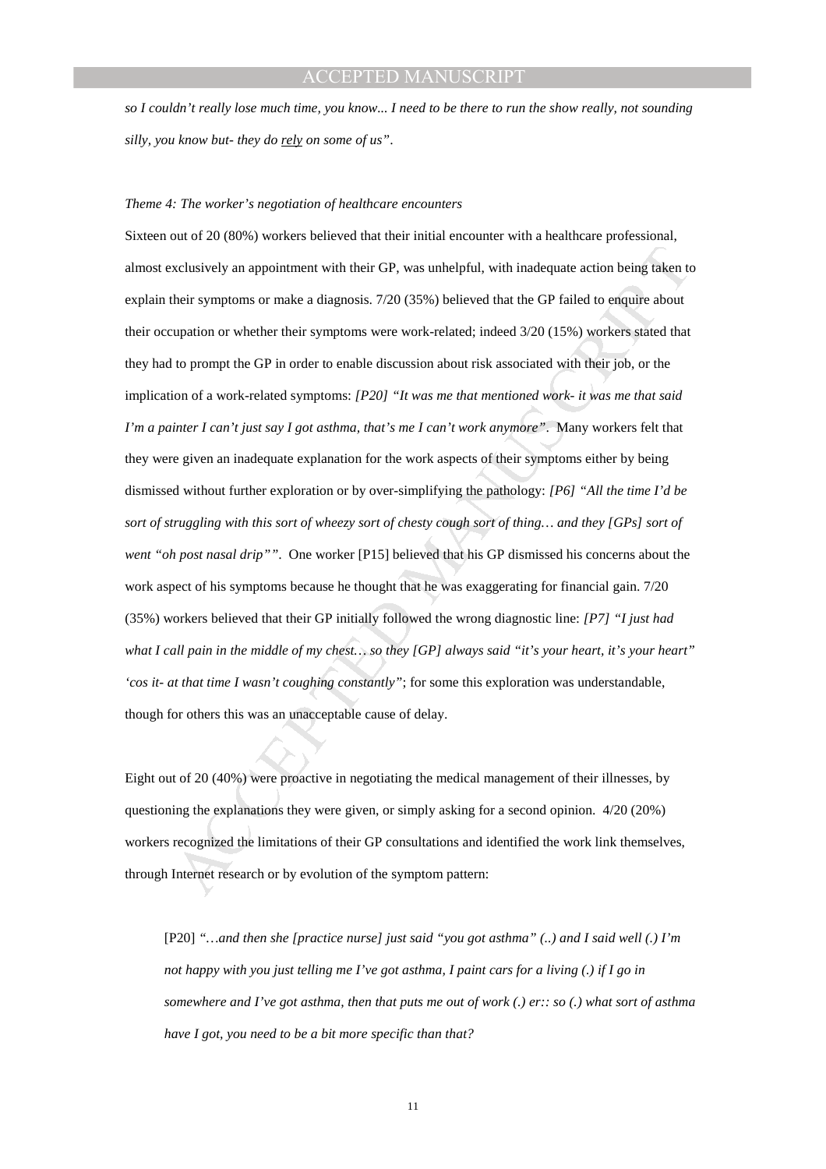*so I couldn't really lose much time, you know... I need to be there to run the show really, not sounding silly, you know but- they do rely on some of us"*.

# *Theme 4: The worker's negotiation of healthcare encounters*

xclusively an appointment with their GP, was unhelpful, with inadequate action being taken technic symptoms or make a diagnosis. 7/20 (35%) believed that the GP failed to enquive about upation or whether their symptoms we Sixteen out of 20 (80%) workers believed that their initial encounter with a healthcare professional, almost exclusively an appointment with their GP, was unhelpful, with inadequate action being taken to explain their symptoms or make a diagnosis. 7/20 (35%) believed that the GP failed to enquire about their occupation or whether their symptoms were work-related; indeed 3/20 (15%) workers stated that they had to prompt the GP in order to enable discussion about risk associated with their job, or the implication of a work-related symptoms: *[P20] "It was me that mentioned work- it was me that said I'm a painter I can't just say I got asthma, that's me I can't work anymore"*. Many workers felt that they were given an inadequate explanation for the work aspects of their symptoms either by being dismissed without further exploration or by over-simplifying the pathology: *[P6] "All the time I'd be sort of struggling with this sort of wheezy sort of chesty cough sort of thing… and they [GPs] sort of went "oh post nasal drip""*. One worker [P15] believed that his GP dismissed his concerns about the work aspect of his symptoms because he thought that he was exaggerating for financial gain. 7/20 (35%) workers believed that their GP initially followed the wrong diagnostic line: *[P7] "I just had what I call pain in the middle of my chest… so they [GP] always said "it's your heart, it's your heart" 'cos it- at that time I wasn't coughing constantly"*; for some this exploration was understandable, though for others this was an unacceptable cause of delay.

Eight out of 20 (40%) were proactive in negotiating the medical management of their illnesses, by questioning the explanations they were given, or simply asking for a second opinion. 4/20 (20%) workers recognized the limitations of their GP consultations and identified the work link themselves, through Internet research or by evolution of the symptom pattern:

[P20] *"…and then she [practice nurse] just said "you got asthma" (..) and I said well (.) I'm not happy with you just telling me I've got asthma, I paint cars for a living (.) if I go in somewhere and I've got asthma, then that puts me out of work (.) er:: so (.) what sort of asthma have I got, you need to be a bit more specific than that?*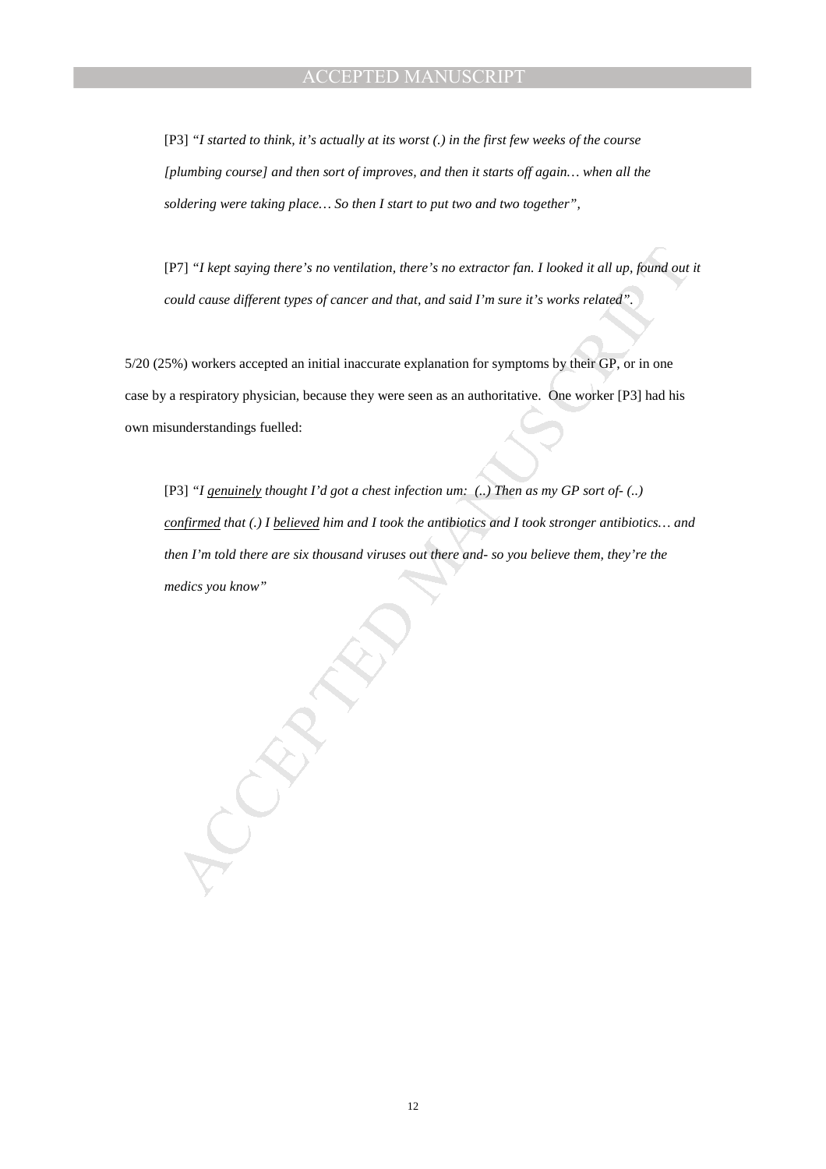[P3] *"I started to think, it's actually at its worst (.) in the first few weeks of the course [plumbing course] and then sort of improves, and then it starts off again… when all the soldering were taking place… So then I start to put two and two together",* 

[P7] *"I kept saying there's no ventilation, there's no extractor fan. I looked it all up, found out it could cause different types of cancer and that, and said I'm sure it's works related".* 

5/20 (25%) workers accepted an initial inaccurate explanation for symptoms by their GP, or in one case by a respiratory physician, because they were seen as an authoritative. One worker [P3] had his own misunderstandings fuelled:

(PT) "I kept saying there's no ventilation, there's no extractor fan. I looked it all up, found out<br>ontil cause different types of curreer and that, and staid I'm sure it's works related."<br>We work ts accepted an initial i [P3] *"I genuinely thought I'd got a chest infection um: (..) Then as my GP sort of- (..) confirmed that (.) I believed him and I took the antibiotics and I took stronger antibiotics… and then I'm told there are six thousand viruses out there and- so you believe them, they're the medics you know"*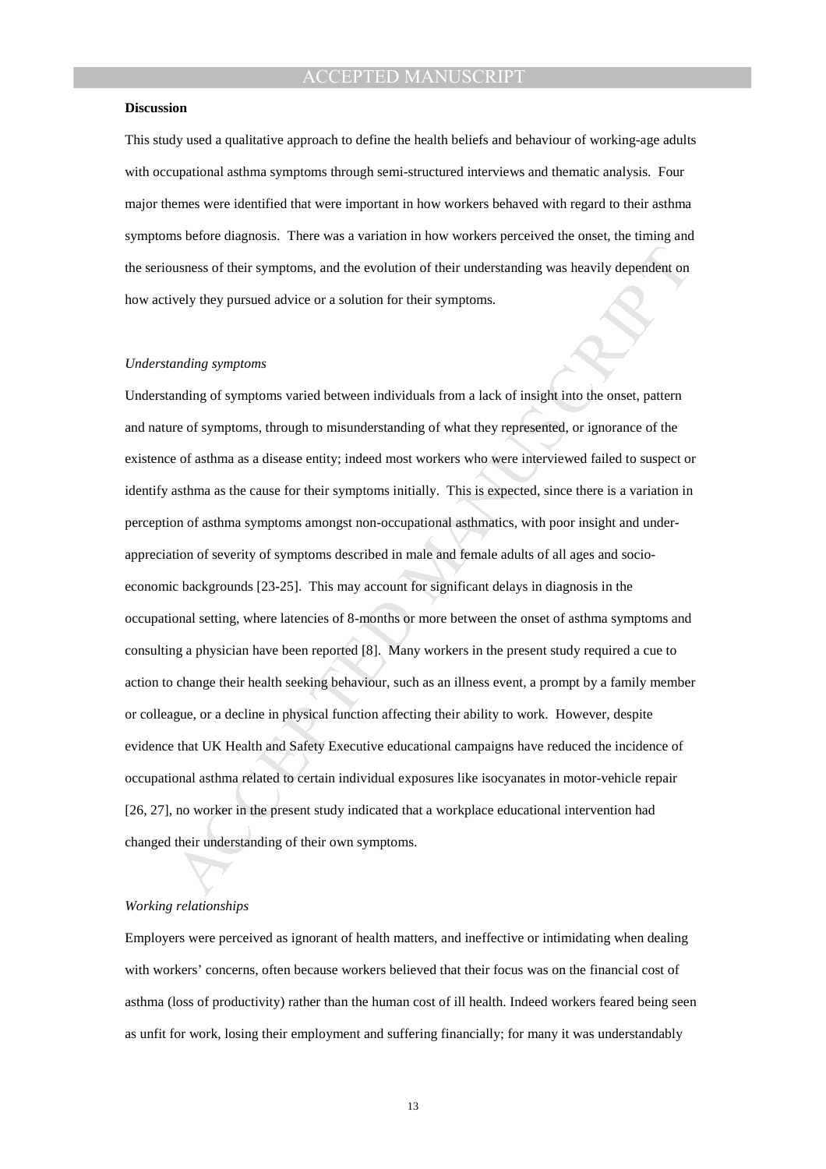#### **Discussion**

This study used a qualitative approach to define the health beliefs and behaviour of working-age adults with occupational asthma symptoms through semi-structured interviews and thematic analysis. Four major themes were identified that were important in how workers behaved with regard to their asthma symptoms before diagnosis. There was a variation in how workers perceived the onset, the timing and the seriousness of their symptoms, and the evolution of their understanding was heavily dependent on how actively they pursued advice or a solution for their symptoms.

#### *Understanding symptoms*

ations of their symptoms, and the evolution of their understanding was heavily dependent on<br>vely they pursued advice or a solution for their symptoms.<br>
anding symptoms<br>
anding of symptoms<br>
anding of symptoms<br>
anding of sym Understanding of symptoms varied between individuals from a lack of insight into the onset, pattern and nature of symptoms, through to misunderstanding of what they represented, or ignorance of the existence of asthma as a disease entity; indeed most workers who were interviewed failed to suspect or identify asthma as the cause for their symptoms initially. This is expected, since there is a variation in perception of asthma symptoms amongst non-occupational asthmatics, with poor insight and underappreciation of severity of symptoms described in male and female adults of all ages and socioeconomic backgrounds [23-25]. This may account for significant delays in diagnosis in the occupational setting, where latencies of 8-months or more between the onset of asthma symptoms and consulting a physician have been reported [8]. Many workers in the present study required a cue to action to change their health seeking behaviour, such as an illness event, a prompt by a family member or colleague, or a decline in physical function affecting their ability to work. However, despite evidence that UK Health and Safety Executive educational campaigns have reduced the incidence of occupational asthma related to certain individual exposures like isocyanates in motor-vehicle repair [26, 27], no worker in the present study indicated that a workplace educational intervention had changed their understanding of their own symptoms.

## *Working relationships*

Employers were perceived as ignorant of health matters, and ineffective or intimidating when dealing with workers' concerns, often because workers believed that their focus was on the financial cost of asthma (loss of productivity) rather than the human cost of ill health. Indeed workers feared being seen as unfit for work, losing their employment and suffering financially; for many it was understandably

13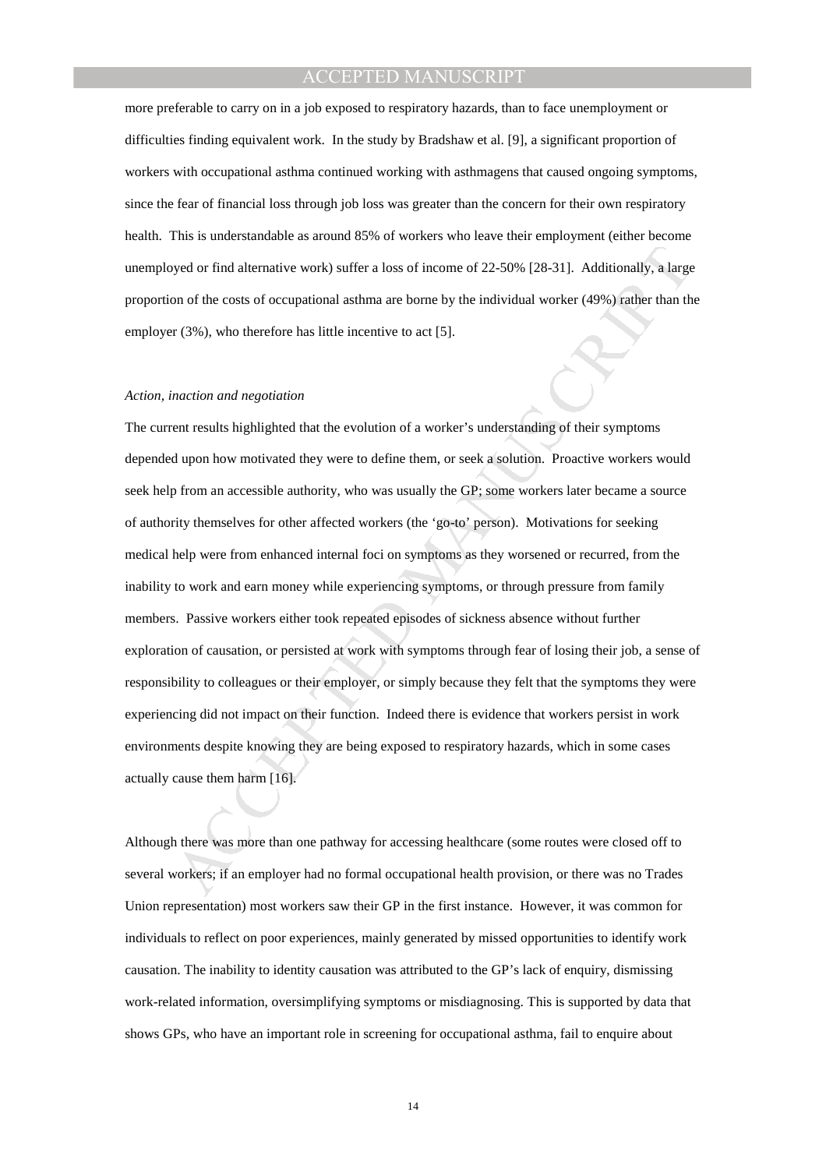more preferable to carry on in a job exposed to respiratory hazards, than to face unemployment or difficulties finding equivalent work. In the study by Bradshaw et al. [9], a significant proportion of workers with occupational asthma continued working with asthmagens that caused ongoing symptoms, since the fear of financial loss through job loss was greater than the concern for their own respiratory health. This is understandable as around 85% of workers who leave their employment (either become unemployed or find alternative work) suffer a loss of income of 22-50% [28-31]. Additionally, a large proportion of the costs of occupational asthma are borne by the individual worker (49%) rather than the employer (3%), who therefore has little incentive to act [5].

### *Action, inaction and negotiation*

byed or find alternative work) suffer a loss of income of 22-50% [28-31]. Additionally, a large<br>on of the costs of occupational asthma are borne by the individual worker (49%) rather than th<br>accion of the costs of occupati The current results highlighted that the evolution of a worker's understanding of their symptoms depended upon how motivated they were to define them, or seek a solution. Proactive workers would seek help from an accessible authority, who was usually the GP; some workers later became a source of authority themselves for other affected workers (the 'go-to' person). Motivations for seeking medical help were from enhanced internal foci on symptoms as they worsened or recurred, from the inability to work and earn money while experiencing symptoms, or through pressure from family members. Passive workers either took repeated episodes of sickness absence without further exploration of causation, or persisted at work with symptoms through fear of losing their job, a sense of responsibility to colleagues or their employer, or simply because they felt that the symptoms they were experiencing did not impact on their function. Indeed there is evidence that workers persist in work environments despite knowing they are being exposed to respiratory hazards, which in some cases actually cause them harm [16].

Although there was more than one pathway for accessing healthcare (some routes were closed off to several workers; if an employer had no formal occupational health provision, or there was no Trades Union representation) most workers saw their GP in the first instance. However, it was common for individuals to reflect on poor experiences, mainly generated by missed opportunities to identify work causation. The inability to identity causation was attributed to the GP's lack of enquiry, dismissing work-related information, oversimplifying symptoms or misdiagnosing. This is supported by data that shows GPs, who have an important role in screening for occupational asthma, fail to enquire about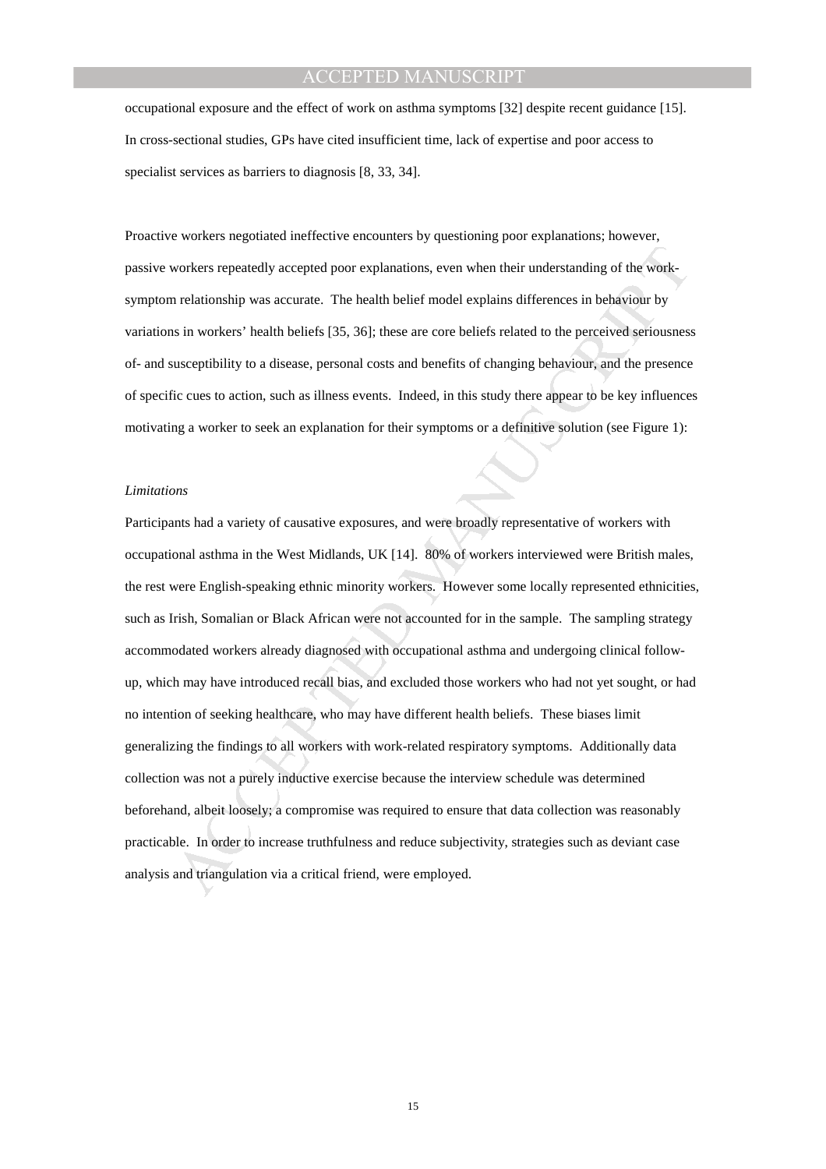occupational exposure and the effect of work on asthma symptoms [32] despite recent guidance [15]. In cross-sectional studies, GPs have cited insufficient time, lack of expertise and poor access to specialist services as barriers to diagnosis [8, 33, 34].

Proactive workers negotiated ineffective encounters by questioning poor explanations; however, passive workers repeatedly accepted poor explanations, even when their understanding of the worksymptom relationship was accurate. The health belief model explains differences in behaviour by variations in workers' health beliefs [35, 36]; these are core beliefs related to the perceived seriousness of- and susceptibility to a disease, personal costs and benefits of changing behaviour, and the presence of specific cues to action, such as illness events. Indeed, in this study there appear to be key influences motivating a worker to seek an explanation for their symptoms or a definitive solution (see Figure 1):

#### *Limitations*

workers repeatedly accepted poor explanations, even when their understanding of the work-<br>n relationship was accurate. The health helief model explains differences in behaviour by<br>is in workers' health beliefs [35, 36]; th Participants had a variety of causative exposures, and were broadly representative of workers with occupational asthma in the West Midlands, UK [14]. 80% of workers interviewed were British males, the rest were English-speaking ethnic minority workers. However some locally represented ethnicities, such as Irish, Somalian or Black African were not accounted for in the sample. The sampling strategy accommodated workers already diagnosed with occupational asthma and undergoing clinical followup, which may have introduced recall bias, and excluded those workers who had not yet sought, or had no intention of seeking healthcare, who may have different health beliefs. These biases limit generalizing the findings to all workers with work-related respiratory symptoms. Additionally data collection was not a purely inductive exercise because the interview schedule was determined beforehand, albeit loosely; a compromise was required to ensure that data collection was reasonably practicable. In order to increase truthfulness and reduce subjectivity, strategies such as deviant case analysis and triangulation via a critical friend, were employed.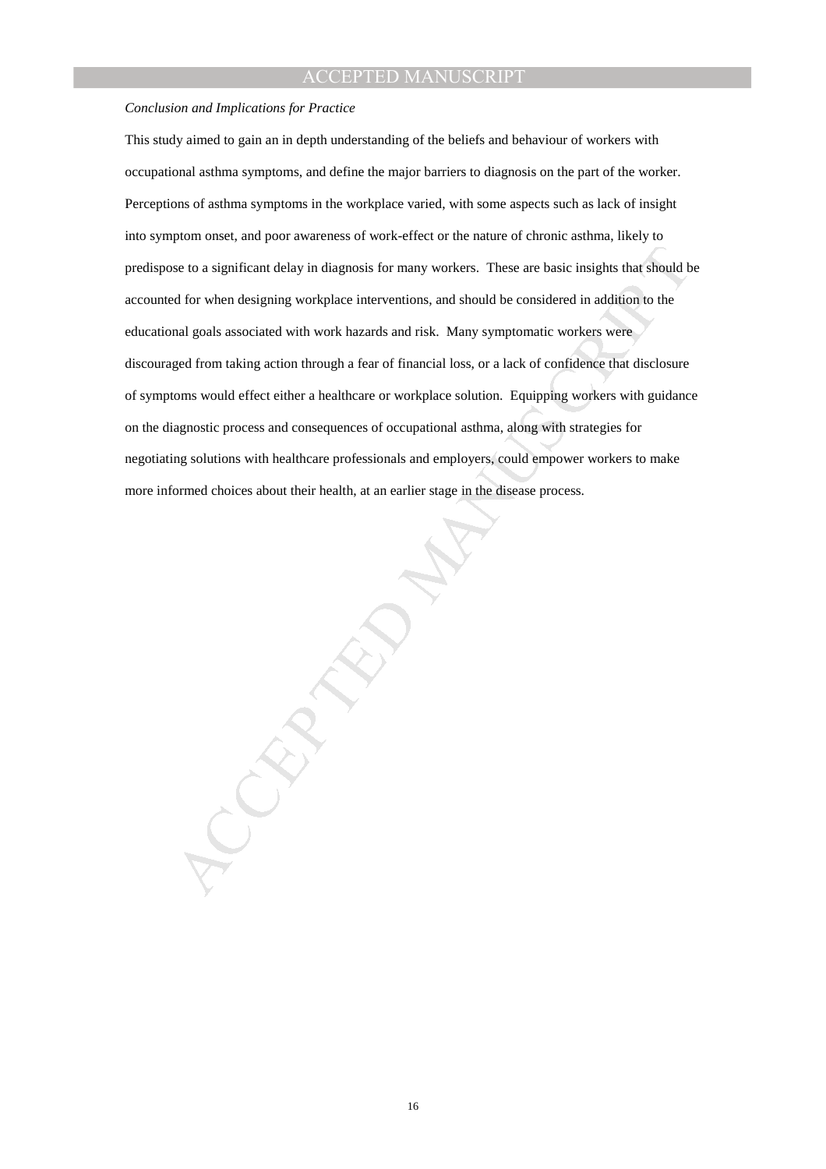#### *Conclusion and Implications for Practice*

se to a significant delay in diagnosis for many workers. These are basic insights that should be a<br>sel of or when designing workplace interventions, and should be considered in addition to the<br>and goals associated with wor This study aimed to gain an in depth understanding of the beliefs and behaviour of workers with occupational asthma symptoms, and define the major barriers to diagnosis on the part of the worker. Perceptions of asthma symptoms in the workplace varied, with some aspects such as lack of insight into symptom onset, and poor awareness of work-effect or the nature of chronic asthma, likely to predispose to a significant delay in diagnosis for many workers. These are basic insights that should be accounted for when designing workplace interventions, and should be considered in addition to the educational goals associated with work hazards and risk. Many symptomatic workers were discouraged from taking action through a fear of financial loss, or a lack of confidence that disclosure of symptoms would effect either a healthcare or workplace solution. Equipping workers with guidance on the diagnostic process and consequences of occupational asthma, along with strategies for negotiating solutions with healthcare professionals and employers, could empower workers to make more informed choices about their health, at an earlier stage in the disease process.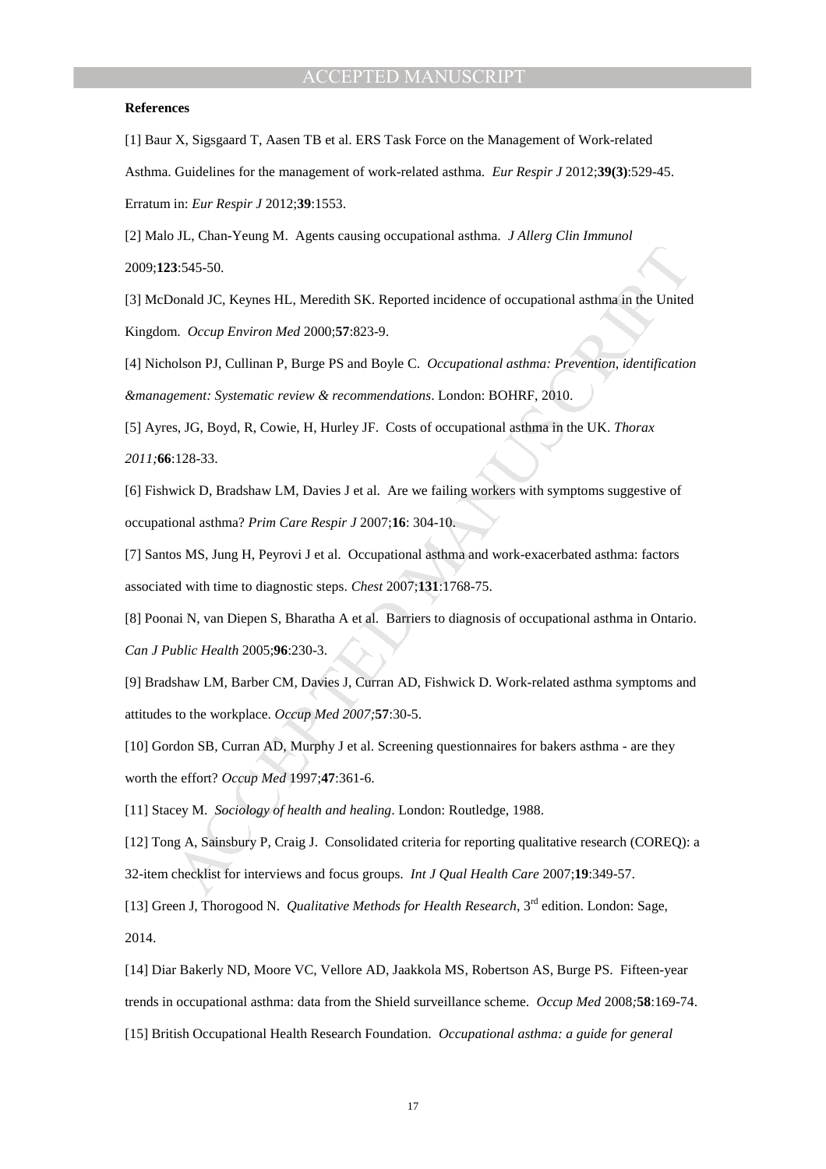#### **References**

[1] Baur X, Sigsgaard T, Aasen TB et al. ERS Task Force on the Management of Work-related Asthma. Guidelines for the management of work-related asthma. *Eur Respir J* 2012;**39(3)**:529-45. Erratum in: *Eur Respir J* 2012;**39**:1553.

[2] Malo JL, Chan-Yeung M. Agents causing occupational asthma. *J Allerg Clin Immunol* 2009;**123**:545-50.

[3] McDonald JC, Keynes HL, Meredith SK. Reported incidence of occupational asthma in the United Kingdom. *Occup Environ Med* 2000;**57**:823-9.

[4] Nicholson PJ, Cullinan P, Burge PS and Boyle C. *Occupational asthma: Prevention, identification &management: Systematic review & recommendations*. London: BOHRF, 2010.

[5] Ayres, JG, Boyd, R, Cowie, H, Hurley JF. Costs of occupational asthma in the UK. *Thorax 2011;***66**:128-33.

[6] Fishwick D, Bradshaw LM, Davies J et al. Are we failing workers with symptoms suggestive of occupational asthma? *Prim Care Respir J* 2007;**16**: 304-10.

3.545-50.<br>
Monald JC, Keynes HT., Meredith SK. Reported incidence of occupational asthma in the United<br>
m. *Decap Environ Med 2000:*57:823-9.<br>
Iolson PJ, Cullinan P, Burge PS and Boyle C. *Occupational asthma: Prevention,* [7] Santos MS, Jung H, Peyrovi J et al. Occupational asthma and work-exacerbated asthma: factors associated with time to diagnostic steps. *Chest* 2007;**131**:1768-75.

[8] Poonai N, van Diepen S, Bharatha A et al. Barriers to diagnosis of occupational asthma in Ontario. *Can J Public Health* 2005;**96**:230-3.

[9] Bradshaw LM, Barber CM, Davies J, Curran AD, Fishwick D. Work-related asthma symptoms and attitudes to the workplace. *Occup Med 2007;***57**:30-5.

[10] Gordon SB, Curran AD, Murphy J et al. Screening questionnaires for bakers asthma - are they worth the effort? *Occup Med* 1997;**47**:361-6.

[11] Stacey M. *Sociology of health and healing*. London: Routledge, 1988.

[12] Tong A, Sainsbury P, Craig J. Consolidated criteria for reporting qualitative research (COREQ): a 32-item checklist for interviews and focus groups. *Int J Qual Health Care* 2007;**19**:349-57.

[13] Green J, Thorogood N. *Qualitative Methods for Health Research*, 3rd edition. London: Sage, 2014.

[14] Diar Bakerly ND, Moore VC, Vellore AD, Jaakkola MS, Robertson AS, Burge PS. Fifteen-year trends in occupational asthma: data from the Shield surveillance scheme. *Occup Med* 2008*;***58**:169-74. [15] British Occupational Health Research Foundation. *Occupational asthma: a guide for general*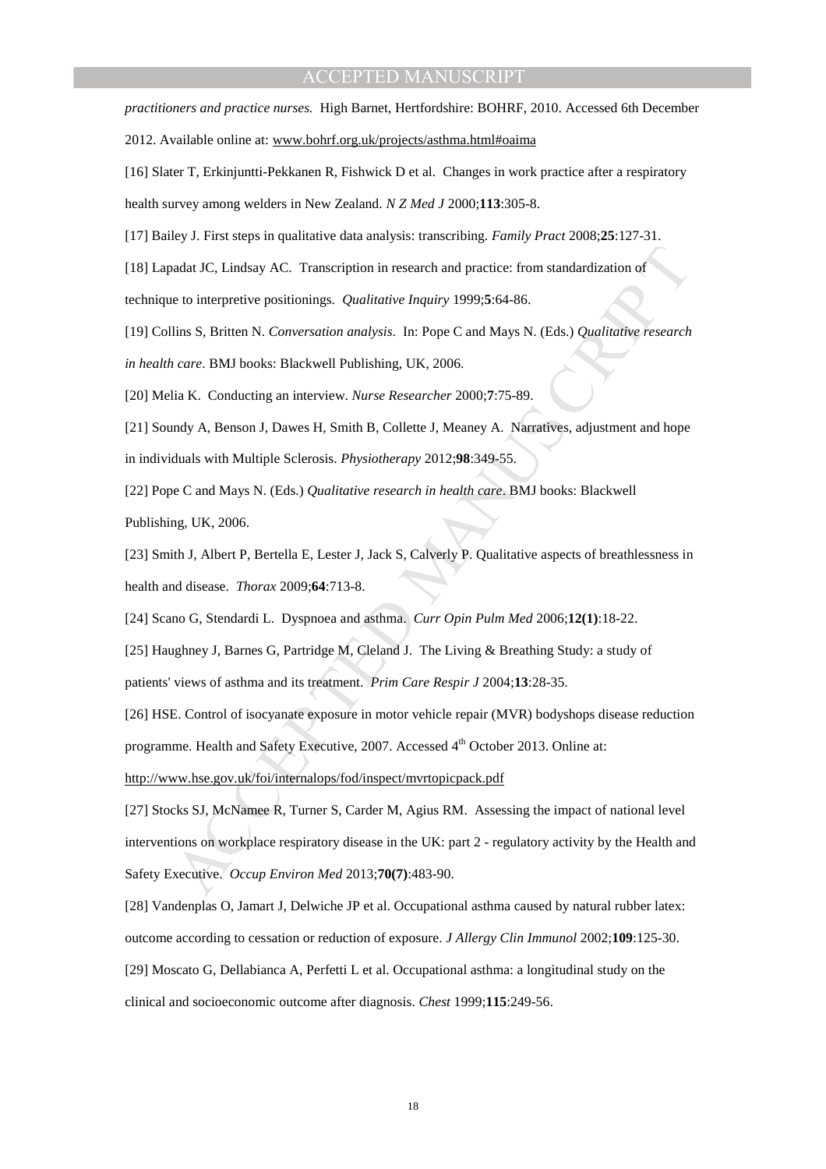*practitioners and practice nurses.* High Barnet, Hertfordshire: BOHRF, 2010. Accessed 6th December

2012. Available online at: www.bohrf.org.uk/projects/asthma.html#oaima

[16] Slater T, Erkinjuntti-Pekkanen R, Fishwick D et al. Changes in work practice after a respiratory health survey among welders in New Zealand. *N Z Med J* 2000;**113**:305-8.

[17] Bailey J. First steps in qualitative data analysis: transcribing. *Family Pract* 2008;**25**:127-31.

[18] Lapadat JC, Lindsay AC. Transcription in research and practice: from standardization of

technique to interpretive positionings. *Qualitative Inquiry* 1999;**5**:64-86.

[19] Collins S, Britten N. *Conversation analysis*. In: Pope C and Mays N. (Eds.) *Qualitative research in health care*. BMJ books: Blackwell Publishing, UK, 2006.

[20] Melia K. Conducting an interview. *Nurse Researcher* 2000;**7**:75-89.

[21] Soundy A, Benson J, Dawes H, Smith B, Collette J, Meaney A. Narratives, adjustment and hope in individuals with Multiple Sclerosis. *Physiotherapy* 2012;**98**:349-55.

[22] Pope C and Mays N. (Eds.) *Qualitative research in health care*. BMJ books: Blackwell Publishing, UK, 2006.

[23] Smith J, Albert P, Bertella E, Lester J, Jack S, Calverly P. Qualitative aspects of breathlessness in health and disease. *Thorax* 2009;**64**:713-8.

[24] Scano G, Stendardi L. Dyspnoea and asthma. *Curr Opin Pulm Med* 2006;**12(1)**:18-22.

[25] Haughney J, Barnes G, Partridge M, Cleland J. The Living & Breathing Study: a study of patients' views of asthma and its treatment. *Prim Care Respir J* 2004;**13**:28-35.

[26] HSE. Control of isocyanate exposure in motor vehicle repair (MVR) bodyshops disease reduction programme. Health and Safety Executive, 2007. Accessed 4<sup>th</sup> October 2013. Online at:

http://www.hse.gov.uk/foi/internalops/fod/inspect/mvrtopicpack.pdf

ordat JC, Lindsay AC. Transcription in research and practice: from standardization of<br>te to interpretive positionings. *Qualitative Inquiry* 1999:5:64-86.<br>Ilins S, Britten N. Conversation analysis. In: Pope C and Mays N. ( [27] Stocks SJ, McNamee R, Turner S, Carder M, Agius RM. Assessing the impact of national level interventions on workplace respiratory disease in the UK: part 2 - regulatory activity by the Health and Safety Executive. *Occup Environ Med* 2013;**70(7)**:483-90.

[28] Vandenplas O, Jamart J, Delwiche JP et al. Occupational asthma caused by natural rubber latex:

outcome according to cessation or reduction of exposure. *J Allergy Clin Immunol* 2002;**109**:125-30.

[29] Moscato G, Dellabianca A, Perfetti L et al. Occupational asthma: a longitudinal study on the clinical and socioeconomic outcome after diagnosis. *Chest* 1999;**115**:249-56.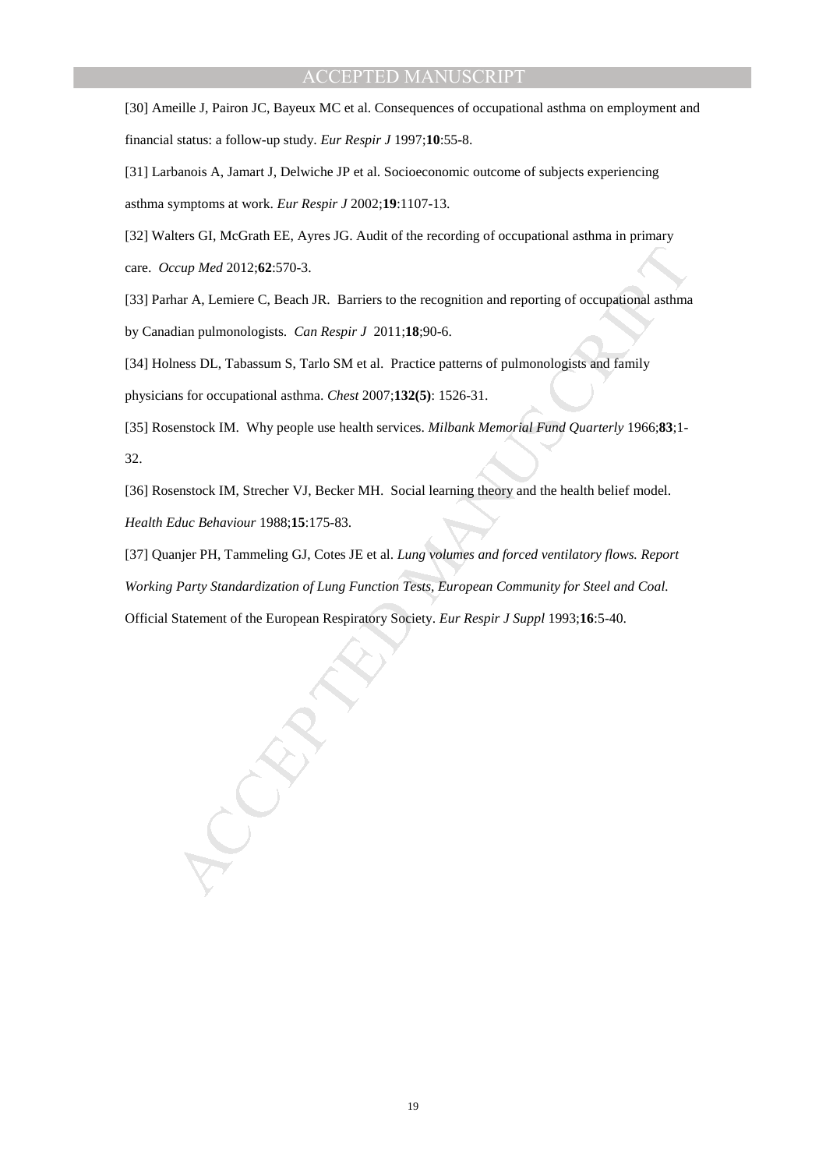[30] Ameille J, Pairon JC, Bayeux MC et al. Consequences of occupational asthma on employment and financial status: a follow-up study. *Eur Respir J* 1997;**10**:55-8.

[31] Larbanois A, Jamart J, Delwiche JP et al. Socioeconomic outcome of subjects experiencing asthma symptoms at work. *Eur Respir J* 2002;**19**:1107-13.

[32] Walters GI, McGrath EE, Ayres JG. Audit of the recording of occupational asthma in primary care. *Occup Med* 2012;**62**:570-3.

[33] Parhar A, Lemiere C, Beach JR. Barriers to the recognition and reporting of occupational asthma

by Canadian pulmonologists. *Can Respir J* 2011;**18**;90-6.

[34] Holness DL, Tabassum S, Tarlo SM et al. Practice patterns of pulmonologists and family

physicians for occupational asthma. *Chest* 2007;**132(5)**: 1526-31.

[35] Rosenstock IM. Why people use health services. *Milbank Memorial Fund Quarterly* 1966;**83**;1- 32.

[36] Rosenstock IM, Strecher VJ, Becker MH. Social learning theory and the health belief model. *Health Educ Behaviour* 1988;**15**:175-83.

cap Med 2012:62:570-3.<br>
Inter A, Lemicre C, Beach JR. Barriers to the recognition and reporting of occupational ashma<br>
Idian pulmonologists. *Can Respir J* 2011:18:90-6.<br>
Inters DL, Tabassum S, Tarlo SM et al. Practice pat [37] Quanjer PH, Tammeling GJ, Cotes JE et al. *Lung volumes and forced ventilatory flows. Report Working Party Standardization of Lung Function Tests, European Community for Steel and Coal.*  Official Statement of the European Respiratory Society. *Eur Respir J Suppl* 1993;**16**:5-40.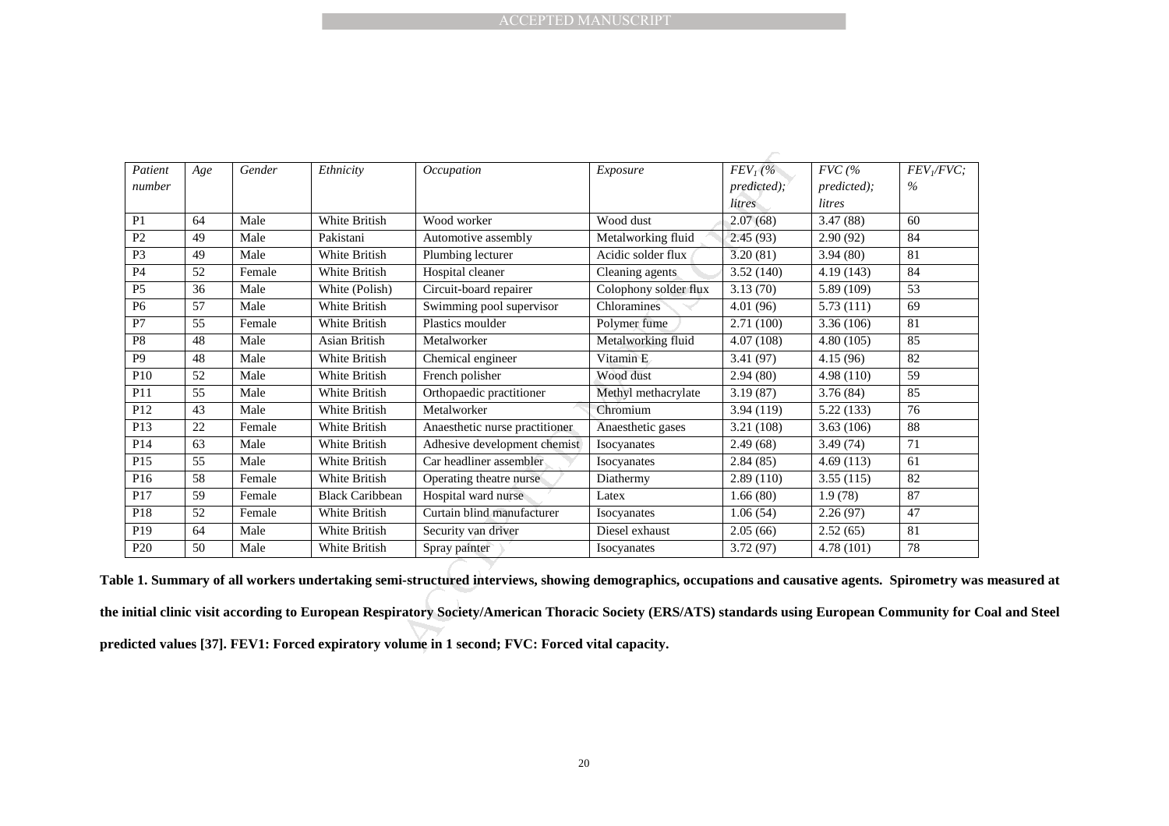| Patient<br>Age<br>number<br>P <sub>1</sub><br>64<br>P2<br>49<br>P <sub>3</sub><br>49 | Gender<br>Male | Ethnicity              | Occupation                                                                                                                                                                                                                                                                                 | Exposure              | $FEVI$ (%              | $FVC$ (%    | $\overline{FEV}$ / $\overline{FVC}$ ; |
|--------------------------------------------------------------------------------------|----------------|------------------------|--------------------------------------------------------------------------------------------------------------------------------------------------------------------------------------------------------------------------------------------------------------------------------------------|-----------------------|------------------------|-------------|---------------------------------------|
|                                                                                      |                |                        |                                                                                                                                                                                                                                                                                            |                       |                        |             |                                       |
|                                                                                      |                |                        |                                                                                                                                                                                                                                                                                            |                       |                        |             |                                       |
|                                                                                      |                |                        |                                                                                                                                                                                                                                                                                            |                       | predicted);            | predicted); | $\%$                                  |
|                                                                                      |                |                        |                                                                                                                                                                                                                                                                                            |                       | litres                 | litres      |                                       |
|                                                                                      |                | White British          | Wood worker                                                                                                                                                                                                                                                                                | Wood dust             | 2.07(68)               | 3.47(88)    | 60                                    |
|                                                                                      | Male           | Pakistani              | Automotive assembly                                                                                                                                                                                                                                                                        | Metalworking fluid    | 2.45(93)               | 2.90(92)    | 84                                    |
|                                                                                      | Male           | White British          | Plumbing lecturer                                                                                                                                                                                                                                                                          | Acidic solder flux    | 3.20(81)               | 3.94(80)    | 81                                    |
| <b>P4</b><br>52                                                                      | Female         | White British          | Hospital cleaner                                                                                                                                                                                                                                                                           | Cleaning agents       | 3.52(140)              | 4.19(143)   | 84                                    |
| $\overline{P5}$<br>$\overline{36}$                                                   | Male           | White (Polish)         | Circuit-board repairer                                                                                                                                                                                                                                                                     | Colophony solder flux | 3.13(70)               | 5.89 (109)  | 53                                    |
| 57<br>P <sub>6</sub>                                                                 | Male           | White British          | Swimming pool supervisor                                                                                                                                                                                                                                                                   | Chloramines           | 4.01 (96)              | 5.73(111)   | 69                                    |
| $\overline{55}$<br>P7                                                                | Female         | White British          | Plastics moulder                                                                                                                                                                                                                                                                           | Polymer fume          | 2.71(100)              | 3.36 (106)  | 81                                    |
| 48<br>P <sub>8</sub>                                                                 | Male           | Asian British          | Metalworker                                                                                                                                                                                                                                                                                | Metalworking fluid    | 4.07(108)              | 4.80(105)   | 85                                    |
| P9<br>48                                                                             | Male           | White British          | Chemical engineer                                                                                                                                                                                                                                                                          | Vitamin E             | 3.41 (97)              | 4.15(96)    | 82                                    |
| P10<br>$\overline{52}$                                                               | Male           | White British          | French polisher                                                                                                                                                                                                                                                                            | Wood dust             | 2.94(80)               | 4.98 (110)  | $\overline{59}$                       |
| $\overline{55}$<br>P11                                                               | Male           | White British          | Orthopaedic practitioner                                                                                                                                                                                                                                                                   | Methyl methacrylate   | 3.19(87)               | 3.76 (84)   | 85                                    |
| 43<br>P12                                                                            | Male           | White British          | Metalworker                                                                                                                                                                                                                                                                                | Chromium              | 3.94 (119)             | 5.22 (133)  | 76                                    |
| P13<br>22                                                                            | Female         | White British          | Anaesthetic nurse practitioner                                                                                                                                                                                                                                                             | Anaesthetic gases     | 3.21 (108)             | 3.63(106)   | 88                                    |
| P14<br>63                                                                            | Male           | White British          | Adhesive development chemist                                                                                                                                                                                                                                                               | Isocyanates           | 2.49(68)               | 3.49 (74)   | 71                                    |
| P15<br>55                                                                            | Male           | White British          | Car headliner assembler                                                                                                                                                                                                                                                                    | Isocyanates           | 2.84(85)               | 4.69(113)   | 61                                    |
| P16<br>58                                                                            | Female         | White British          | Operating theatre nurse                                                                                                                                                                                                                                                                    | Diathermy             | 2.89(110)              | 3.55(115)   | 82                                    |
| P17<br>59                                                                            | Female         | <b>Black Caribbean</b> | Hospital ward nurse                                                                                                                                                                                                                                                                        | Latex                 | $\overline{1.66}$ (80) | 1.9(78)     | 87                                    |
| P18<br>52                                                                            | Female         | White British          | Curtain blind manufacturer                                                                                                                                                                                                                                                                 | Isocyanates           | 1.06(54)               | 2.26(97)    | 47                                    |
| P19<br>64                                                                            | Male           | White British          | Security van driver                                                                                                                                                                                                                                                                        | Diesel exhaust        | 2.05(66)               | 2.52(65)    | 81                                    |
| P <sub>20</sub><br>50                                                                | Male           | White British          | Spray painter                                                                                                                                                                                                                                                                              | Isocyanates           | 3.72 (97)              | 4.78 (101)  | 78                                    |
|                                                                                      |                |                        | le 1. Summary of all workers undertaking semi-structured interviews, showing demographics, occupations and causative agents. Spirometry was<br>initial clinic visit according to European Respiratory Society/American Thoracic Society (ERS/ATS) standards using European Community for C |                       |                        |             |                                       |

**Table 1. Summary of all workers undertaking semi-structured interviews, showing demographics, occupations and causative agents. Spirometry was measured at** 

**the initial clinic visit according to European Respiratory Society/American Thoracic Society (ERS/ATS) standards using European Community for Coal and Steel predicted values [37]. FEV1: Forced expiratory volume in 1 second; FVC: Forced vital capacity.**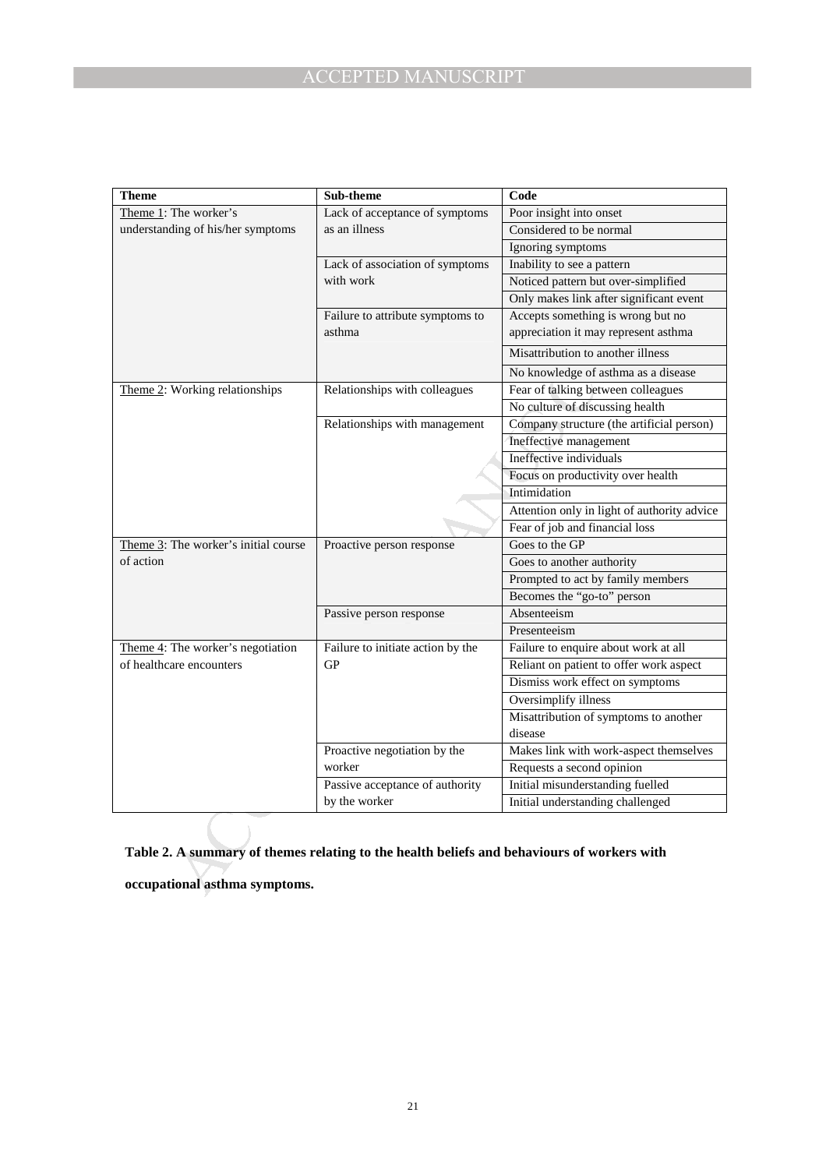| <b>Theme</b>                                                                                                                | Sub-theme                         | Code                                        |  |
|-----------------------------------------------------------------------------------------------------------------------------|-----------------------------------|---------------------------------------------|--|
| Theme 1: The worker's                                                                                                       | Lack of acceptance of symptoms    | Poor insight into onset                     |  |
| understanding of his/her symptoms                                                                                           | as an illness                     | Considered to be normal                     |  |
|                                                                                                                             |                                   | Ignoring symptoms                           |  |
|                                                                                                                             | Lack of association of symptoms   | Inability to see a pattern                  |  |
|                                                                                                                             | with work                         | Noticed pattern but over-simplified         |  |
|                                                                                                                             |                                   | Only makes link after significant event     |  |
|                                                                                                                             | Failure to attribute symptoms to  | Accepts something is wrong but no           |  |
|                                                                                                                             | asthma                            | appreciation it may represent asthma        |  |
|                                                                                                                             |                                   | Misattribution to another illness           |  |
|                                                                                                                             |                                   | No knowledge of asthma as a disease         |  |
| Theme 2: Working relationships                                                                                              | Relationships with colleagues     | Fear of talking between colleagues          |  |
|                                                                                                                             |                                   | No culture of discussing health             |  |
|                                                                                                                             | Relationships with management     | Company structure (the artificial person)   |  |
|                                                                                                                             |                                   | Ineffective management                      |  |
|                                                                                                                             |                                   | Ineffective individuals                     |  |
|                                                                                                                             |                                   | Focus on productivity over health           |  |
|                                                                                                                             |                                   | Intimidation                                |  |
|                                                                                                                             |                                   | Attention only in light of authority advice |  |
|                                                                                                                             |                                   | Fear of job and financial loss              |  |
| Theme 3: The worker's initial course                                                                                        | Proactive person response         | Goes to the GP                              |  |
| of action                                                                                                                   |                                   | Goes to another authority                   |  |
|                                                                                                                             |                                   | Prompted to act by family members           |  |
|                                                                                                                             |                                   | Becomes the "go-to" person                  |  |
|                                                                                                                             | Passive person response           | Absenteeism                                 |  |
|                                                                                                                             |                                   | Presenteeism                                |  |
| Theme $4$ : The worker's negotiation                                                                                        | Failure to initiate action by the | Failure to enquire about work at all        |  |
| of healthcare encounters                                                                                                    | <b>GP</b>                         | Reliant on patient to offer work aspect     |  |
|                                                                                                                             |                                   | Dismiss work effect on symptoms             |  |
|                                                                                                                             |                                   | Oversimplify illness                        |  |
|                                                                                                                             |                                   | Misattribution of symptoms to another       |  |
|                                                                                                                             |                                   | disease                                     |  |
|                                                                                                                             | Proactive negotiation by the      | Makes link with work-aspect themselves      |  |
|                                                                                                                             | worker                            | Requests a second opinion                   |  |
|                                                                                                                             | Passive acceptance of authority   | Initial misunderstanding fuelled            |  |
|                                                                                                                             | by the worker                     | Initial understanding challenged            |  |
| Table 2. A summary of themes relating to the health beliefs and behaviours of workers with<br>occupational asthma symptoms. |                                   |                                             |  |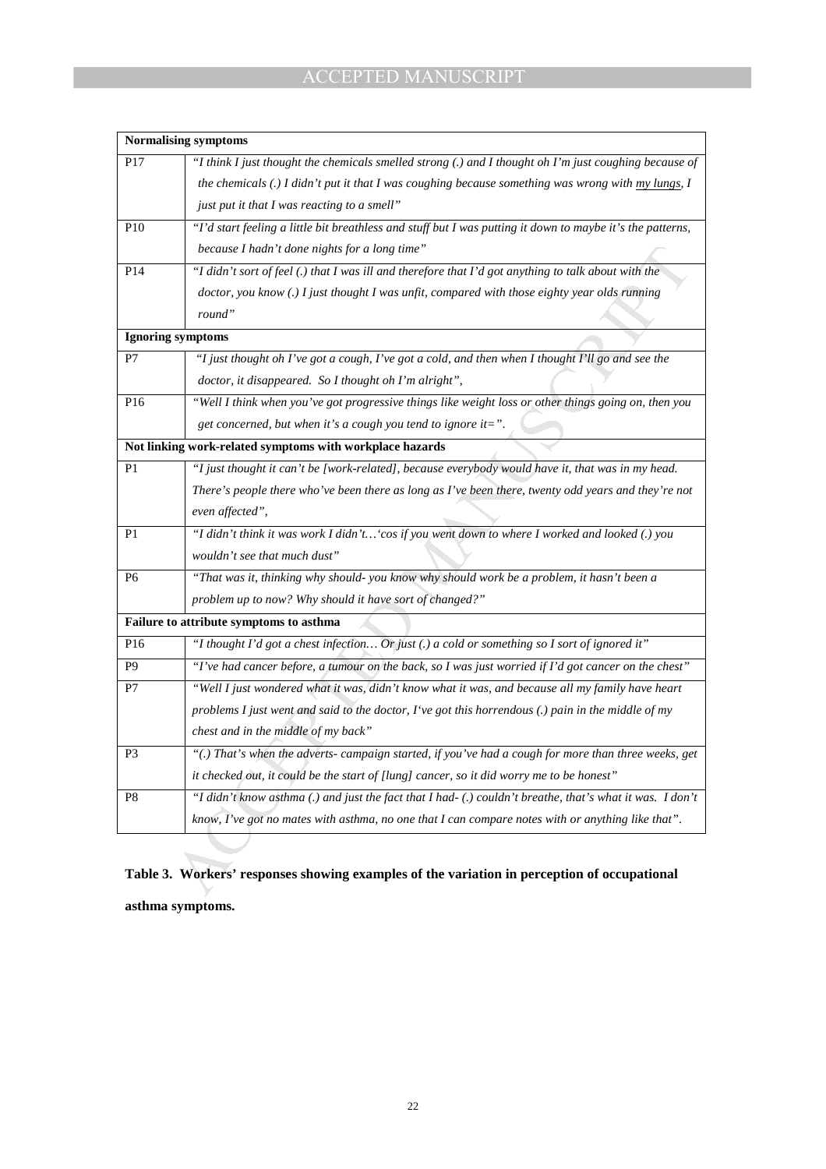|                 | <b>Normalising symptoms</b>                                                                                |  |  |  |  |  |
|-----------------|------------------------------------------------------------------------------------------------------------|--|--|--|--|--|
| P <sub>17</sub> | "I think I just thought the chemicals smelled strong (.) and I thought oh I'm just coughing because of     |  |  |  |  |  |
|                 | the chemicals (.) I didn't put it that I was coughing because something was wrong with my lungs, I         |  |  |  |  |  |
|                 | just put it that I was reacting to a smell"                                                                |  |  |  |  |  |
| P <sub>10</sub> | "I'd start feeling a little bit breathless and stuff but I was putting it down to maybe it's the patterns, |  |  |  |  |  |
|                 | because I hadn't done nights for a long time"                                                              |  |  |  |  |  |
| P <sub>14</sub> | "I didn't sort of feel (.) that I was ill and therefore that I'd got anything to talk about with the       |  |  |  |  |  |
|                 | doctor, you know (.) I just thought I was unfit, compared with those eighty year olds running              |  |  |  |  |  |
|                 | round"                                                                                                     |  |  |  |  |  |
|                 | Ignoring symptoms                                                                                          |  |  |  |  |  |
| P7              | "I just thought oh I've got a cough, I've got a cold, and then when I thought I'll go and see the          |  |  |  |  |  |
|                 | doctor, it disappeared. So I thought oh I'm alright",                                                      |  |  |  |  |  |
| P16             | "Well I think when you've got progressive things like weight loss or other things going on, then you       |  |  |  |  |  |
|                 | get concerned, but when it's a cough you tend to ignore it=".                                              |  |  |  |  |  |
|                 | Not linking work-related symptoms with workplace hazards                                                   |  |  |  |  |  |
| P1              | "I just thought it can't be [work-related], because everybody would have it, that was in my head.          |  |  |  |  |  |
|                 | There's people there who've been there as long as I've been there, twenty odd years and they're not        |  |  |  |  |  |
|                 | even affected",                                                                                            |  |  |  |  |  |
| P1              | "I didn't think it was work I didn't 'cos if you went down to where I worked and looked (.) you            |  |  |  |  |  |
|                 | wouldn't see that much dust"                                                                               |  |  |  |  |  |
| P6              | "That was it, thinking why should- you know why should work be a problem, it hasn't been a                 |  |  |  |  |  |
|                 | problem up to now? Why should it have sort of changed?"                                                    |  |  |  |  |  |
|                 | Failure to attribute symptoms to asthma                                                                    |  |  |  |  |  |
| P <sub>16</sub> | "I thought I'd got a chest infection Or just (.) a cold or something so I sort of ignored it"              |  |  |  |  |  |
| P <sub>9</sub>  | "I've had cancer before, a tumour on the back, so I was just worried if I'd got cancer on the chest"       |  |  |  |  |  |
| P7              | "Well I just wondered what it was, didn't know what it was, and because all my family have heart           |  |  |  |  |  |
|                 | problems I just went and said to the doctor, I've got this horrendous (.) pain in the middle of my         |  |  |  |  |  |
|                 | chest and in the middle of my back"                                                                        |  |  |  |  |  |
| P3              | "(.) That's when the adverts-campaign started, if you've had a cough for more than three weeks, get        |  |  |  |  |  |
|                 | it checked out, it could be the start of [lung] cancer, so it did worry me to be honest"                   |  |  |  |  |  |
| P <sub>8</sub>  | "I didn't know asthma (.) and just the fact that I had-(.) couldn't breathe, that's what it was. I don't   |  |  |  |  |  |
|                 | know, $\Gamma$ ve got no mates with asthma, no one that $I$ can compare notes with or anything like that". |  |  |  |  |  |

# **Table 3. Workers' responses showing examples of the variation in perception of occupational asthma symptoms.**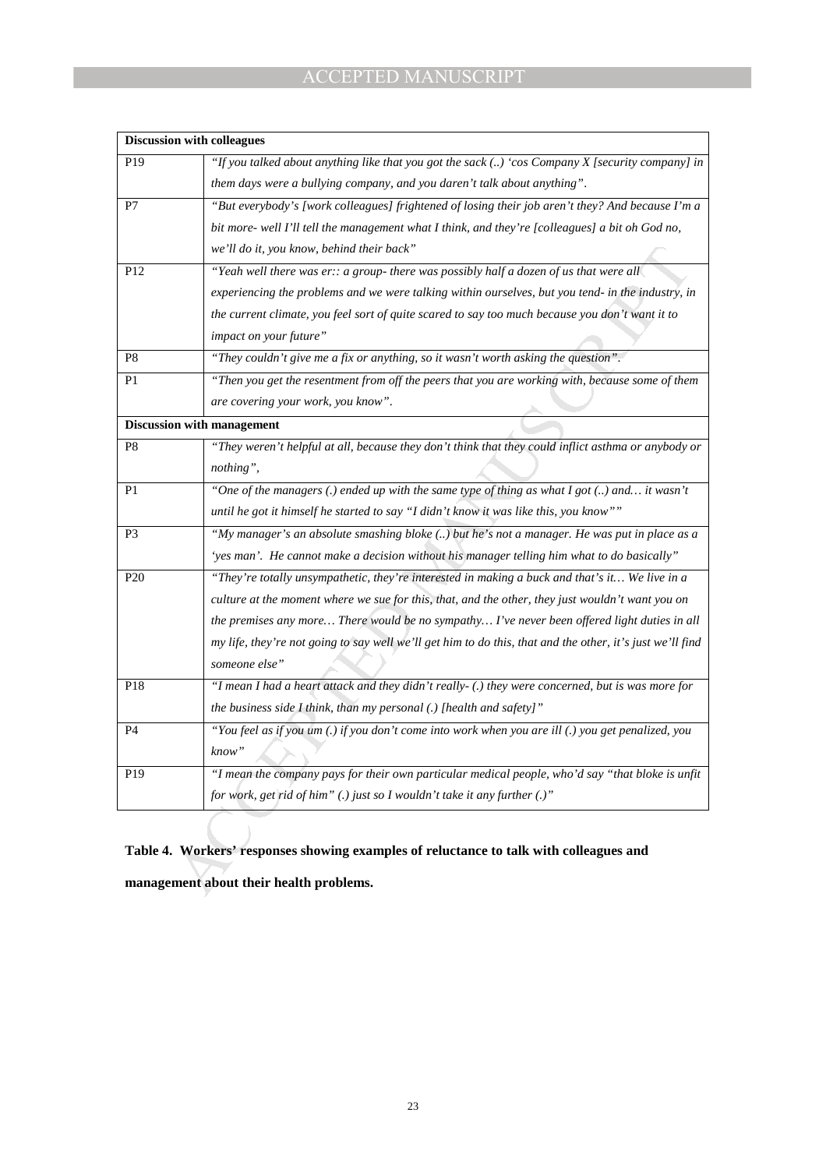| "If you talked about anything like that you got the sack () 'cos Company X [security company] in<br>P <sub>19</sub><br>them days were a bullying company, and you daren't talk about anything".<br>P7<br>bit more- well I'll tell the management what I think, and they're [colleagues] a bit oh God no,<br>we'll do it, you know, behind their back"<br>"Yeah well there was er:: a group- there was possibly half a dozen of us that were all<br>P12<br>experiencing the problems and we were talking within ourselves, but you tend- in the industry, in<br>impact on your future"<br>"They couldn't give me a fix or anything, so it wasn't worth asking the question".<br>P <sub>8</sub><br>P1<br>are covering your work, you know".<br><b>Discussion with management</b><br>"They weren't helpful at all, because they don't think that they could inflict asthma or anybody or<br>P8<br>nothing",<br>"One of the managers (.) ended up with the same type of thing as what I got () and it wasn't<br>P1<br>until he got it himself he started to say "I didn't know it was like this, you know""<br>P <sub>3</sub><br>"My manager's an absolute smashing bloke () but he's not a manager. He was put in place as a<br>'yes man'. He cannot make a decision without his manager telling him what to do basically" |                                                                                                  |  |  |  |  |
|-------------------------------------------------------------------------------------------------------------------------------------------------------------------------------------------------------------------------------------------------------------------------------------------------------------------------------------------------------------------------------------------------------------------------------------------------------------------------------------------------------------------------------------------------------------------------------------------------------------------------------------------------------------------------------------------------------------------------------------------------------------------------------------------------------------------------------------------------------------------------------------------------------------------------------------------------------------------------------------------------------------------------------------------------------------------------------------------------------------------------------------------------------------------------------------------------------------------------------------------------------------------------------------------------------------------------|--------------------------------------------------------------------------------------------------|--|--|--|--|
|                                                                                                                                                                                                                                                                                                                                                                                                                                                                                                                                                                                                                                                                                                                                                                                                                                                                                                                                                                                                                                                                                                                                                                                                                                                                                                                         |                                                                                                  |  |  |  |  |
|                                                                                                                                                                                                                                                                                                                                                                                                                                                                                                                                                                                                                                                                                                                                                                                                                                                                                                                                                                                                                                                                                                                                                                                                                                                                                                                         |                                                                                                  |  |  |  |  |
|                                                                                                                                                                                                                                                                                                                                                                                                                                                                                                                                                                                                                                                                                                                                                                                                                                                                                                                                                                                                                                                                                                                                                                                                                                                                                                                         | "But everybody's [work colleagues] frightened of losing their job aren't they? And because I'm a |  |  |  |  |
|                                                                                                                                                                                                                                                                                                                                                                                                                                                                                                                                                                                                                                                                                                                                                                                                                                                                                                                                                                                                                                                                                                                                                                                                                                                                                                                         |                                                                                                  |  |  |  |  |
|                                                                                                                                                                                                                                                                                                                                                                                                                                                                                                                                                                                                                                                                                                                                                                                                                                                                                                                                                                                                                                                                                                                                                                                                                                                                                                                         |                                                                                                  |  |  |  |  |
|                                                                                                                                                                                                                                                                                                                                                                                                                                                                                                                                                                                                                                                                                                                                                                                                                                                                                                                                                                                                                                                                                                                                                                                                                                                                                                                         |                                                                                                  |  |  |  |  |
|                                                                                                                                                                                                                                                                                                                                                                                                                                                                                                                                                                                                                                                                                                                                                                                                                                                                                                                                                                                                                                                                                                                                                                                                                                                                                                                         |                                                                                                  |  |  |  |  |
|                                                                                                                                                                                                                                                                                                                                                                                                                                                                                                                                                                                                                                                                                                                                                                                                                                                                                                                                                                                                                                                                                                                                                                                                                                                                                                                         | the current climate, you feel sort of quite scared to say too much because you don't want it to  |  |  |  |  |
|                                                                                                                                                                                                                                                                                                                                                                                                                                                                                                                                                                                                                                                                                                                                                                                                                                                                                                                                                                                                                                                                                                                                                                                                                                                                                                                         |                                                                                                  |  |  |  |  |
|                                                                                                                                                                                                                                                                                                                                                                                                                                                                                                                                                                                                                                                                                                                                                                                                                                                                                                                                                                                                                                                                                                                                                                                                                                                                                                                         |                                                                                                  |  |  |  |  |
|                                                                                                                                                                                                                                                                                                                                                                                                                                                                                                                                                                                                                                                                                                                                                                                                                                                                                                                                                                                                                                                                                                                                                                                                                                                                                                                         | "Then you get the resentment from off the peers that you are working with, because some of them  |  |  |  |  |
|                                                                                                                                                                                                                                                                                                                                                                                                                                                                                                                                                                                                                                                                                                                                                                                                                                                                                                                                                                                                                                                                                                                                                                                                                                                                                                                         |                                                                                                  |  |  |  |  |
|                                                                                                                                                                                                                                                                                                                                                                                                                                                                                                                                                                                                                                                                                                                                                                                                                                                                                                                                                                                                                                                                                                                                                                                                                                                                                                                         |                                                                                                  |  |  |  |  |
|                                                                                                                                                                                                                                                                                                                                                                                                                                                                                                                                                                                                                                                                                                                                                                                                                                                                                                                                                                                                                                                                                                                                                                                                                                                                                                                         |                                                                                                  |  |  |  |  |
|                                                                                                                                                                                                                                                                                                                                                                                                                                                                                                                                                                                                                                                                                                                                                                                                                                                                                                                                                                                                                                                                                                                                                                                                                                                                                                                         |                                                                                                  |  |  |  |  |
|                                                                                                                                                                                                                                                                                                                                                                                                                                                                                                                                                                                                                                                                                                                                                                                                                                                                                                                                                                                                                                                                                                                                                                                                                                                                                                                         |                                                                                                  |  |  |  |  |
|                                                                                                                                                                                                                                                                                                                                                                                                                                                                                                                                                                                                                                                                                                                                                                                                                                                                                                                                                                                                                                                                                                                                                                                                                                                                                                                         |                                                                                                  |  |  |  |  |
|                                                                                                                                                                                                                                                                                                                                                                                                                                                                                                                                                                                                                                                                                                                                                                                                                                                                                                                                                                                                                                                                                                                                                                                                                                                                                                                         |                                                                                                  |  |  |  |  |
|                                                                                                                                                                                                                                                                                                                                                                                                                                                                                                                                                                                                                                                                                                                                                                                                                                                                                                                                                                                                                                                                                                                                                                                                                                                                                                                         |                                                                                                  |  |  |  |  |
| "They're totally unsympathetic, they're interested in making a buck and that's it We live in a<br>P <sub>20</sub>                                                                                                                                                                                                                                                                                                                                                                                                                                                                                                                                                                                                                                                                                                                                                                                                                                                                                                                                                                                                                                                                                                                                                                                                       |                                                                                                  |  |  |  |  |
| culture at the moment where we sue for this, that, and the other, they just wouldn't want you on                                                                                                                                                                                                                                                                                                                                                                                                                                                                                                                                                                                                                                                                                                                                                                                                                                                                                                                                                                                                                                                                                                                                                                                                                        |                                                                                                  |  |  |  |  |
| the premises any more There would be no sympathy I've never been offered light duties in all                                                                                                                                                                                                                                                                                                                                                                                                                                                                                                                                                                                                                                                                                                                                                                                                                                                                                                                                                                                                                                                                                                                                                                                                                            |                                                                                                  |  |  |  |  |
| my life, they're not going to say well we'll get him to do this, that and the other, it's just we'll find                                                                                                                                                                                                                                                                                                                                                                                                                                                                                                                                                                                                                                                                                                                                                                                                                                                                                                                                                                                                                                                                                                                                                                                                               |                                                                                                  |  |  |  |  |
| someone else"                                                                                                                                                                                                                                                                                                                                                                                                                                                                                                                                                                                                                                                                                                                                                                                                                                                                                                                                                                                                                                                                                                                                                                                                                                                                                                           |                                                                                                  |  |  |  |  |
| "I mean I had a heart attack and they didn't really-(.) they were concerned, but is was more for<br>P18                                                                                                                                                                                                                                                                                                                                                                                                                                                                                                                                                                                                                                                                                                                                                                                                                                                                                                                                                                                                                                                                                                                                                                                                                 |                                                                                                  |  |  |  |  |
| the business side I think, than my personal (.) [health and safety]"                                                                                                                                                                                                                                                                                                                                                                                                                                                                                                                                                                                                                                                                                                                                                                                                                                                                                                                                                                                                                                                                                                                                                                                                                                                    |                                                                                                  |  |  |  |  |
| "You feel as if you um (.) if you don't come into work when you are ill (.) you get penalized, you<br>P <sub>4</sub>                                                                                                                                                                                                                                                                                                                                                                                                                                                                                                                                                                                                                                                                                                                                                                                                                                                                                                                                                                                                                                                                                                                                                                                                    |                                                                                                  |  |  |  |  |
| know"                                                                                                                                                                                                                                                                                                                                                                                                                                                                                                                                                                                                                                                                                                                                                                                                                                                                                                                                                                                                                                                                                                                                                                                                                                                                                                                   |                                                                                                  |  |  |  |  |
| "I mean the company pays for their own particular medical people, who'd say "that bloke is unfit<br>P <sub>19</sub>                                                                                                                                                                                                                                                                                                                                                                                                                                                                                                                                                                                                                                                                                                                                                                                                                                                                                                                                                                                                                                                                                                                                                                                                     |                                                                                                  |  |  |  |  |
| for work, get rid of him" $(.)$ just so I wouldn't take it any further $(.)$ "                                                                                                                                                                                                                                                                                                                                                                                                                                                                                                                                                                                                                                                                                                                                                                                                                                                                                                                                                                                                                                                                                                                                                                                                                                          |                                                                                                  |  |  |  |  |
|                                                                                                                                                                                                                                                                                                                                                                                                                                                                                                                                                                                                                                                                                                                                                                                                                                                                                                                                                                                                                                                                                                                                                                                                                                                                                                                         |                                                                                                  |  |  |  |  |
|                                                                                                                                                                                                                                                                                                                                                                                                                                                                                                                                                                                                                                                                                                                                                                                                                                                                                                                                                                                                                                                                                                                                                                                                                                                                                                                         |                                                                                                  |  |  |  |  |
| Table 4. Workers' responses showing examples of reluctance to talk with colleagues and                                                                                                                                                                                                                                                                                                                                                                                                                                                                                                                                                                                                                                                                                                                                                                                                                                                                                                                                                                                                                                                                                                                                                                                                                                  |                                                                                                  |  |  |  |  |
| management about their health problems.                                                                                                                                                                                                                                                                                                                                                                                                                                                                                                                                                                                                                                                                                                                                                                                                                                                                                                                                                                                                                                                                                                                                                                                                                                                                                 |                                                                                                  |  |  |  |  |

# **Table 4. Workers' responses showing examples of reluctance to talk with colleagues and**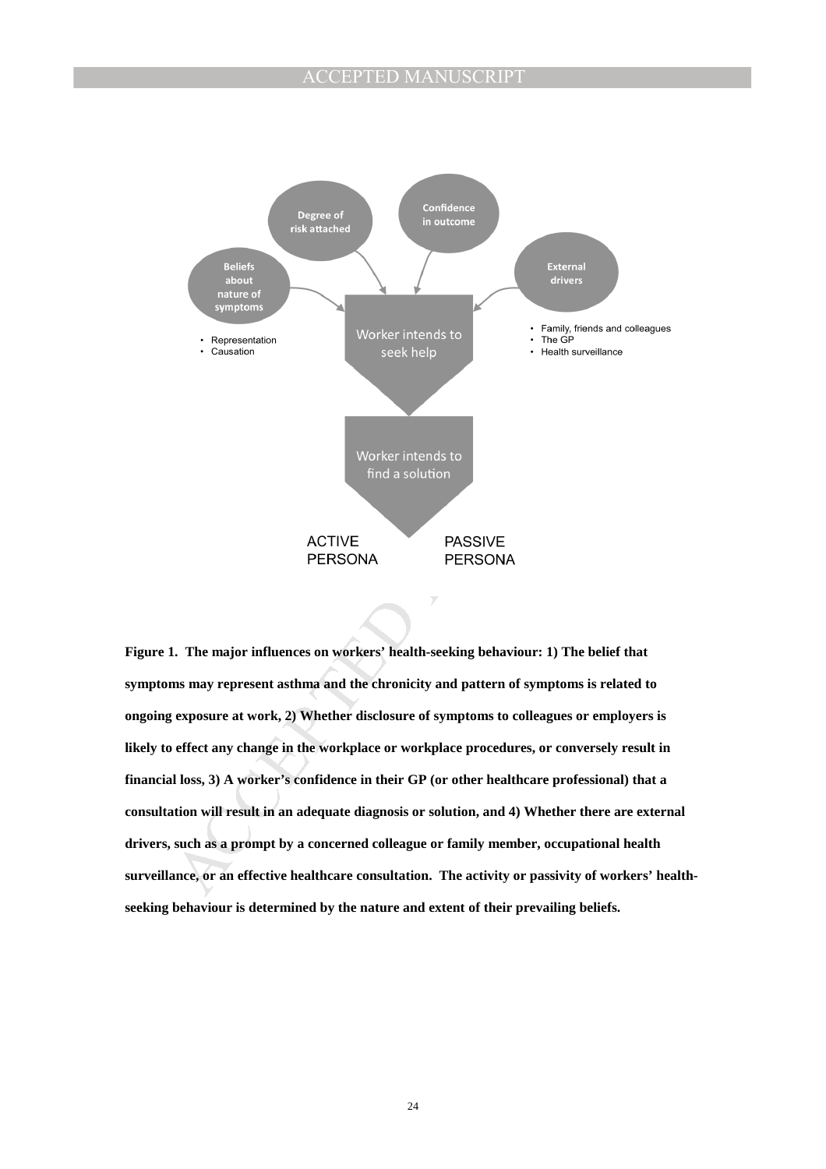

**Figure 1. The major influences on workers' health-seeking behaviour: 1) The belief that symptoms may represent asthma and the chronicity and pattern of symptoms is related to ongoing exposure at work, 2) Whether disclosure of symptoms to colleagues or employers is likely to effect any change in the workplace or workplace procedures, or conversely result in financial loss, 3) A worker's confidence in their GP (or other healthcare professional) that a consultation will result in an adequate diagnosis or solution, and 4) Whether there are external drivers, such as a prompt by a concerned colleague or family member, occupational health**  surveillance, or an effective healthcare consultation. The activity or passivity of workers' health**seeking behaviour is determined by the nature and extent of their prevailing beliefs.**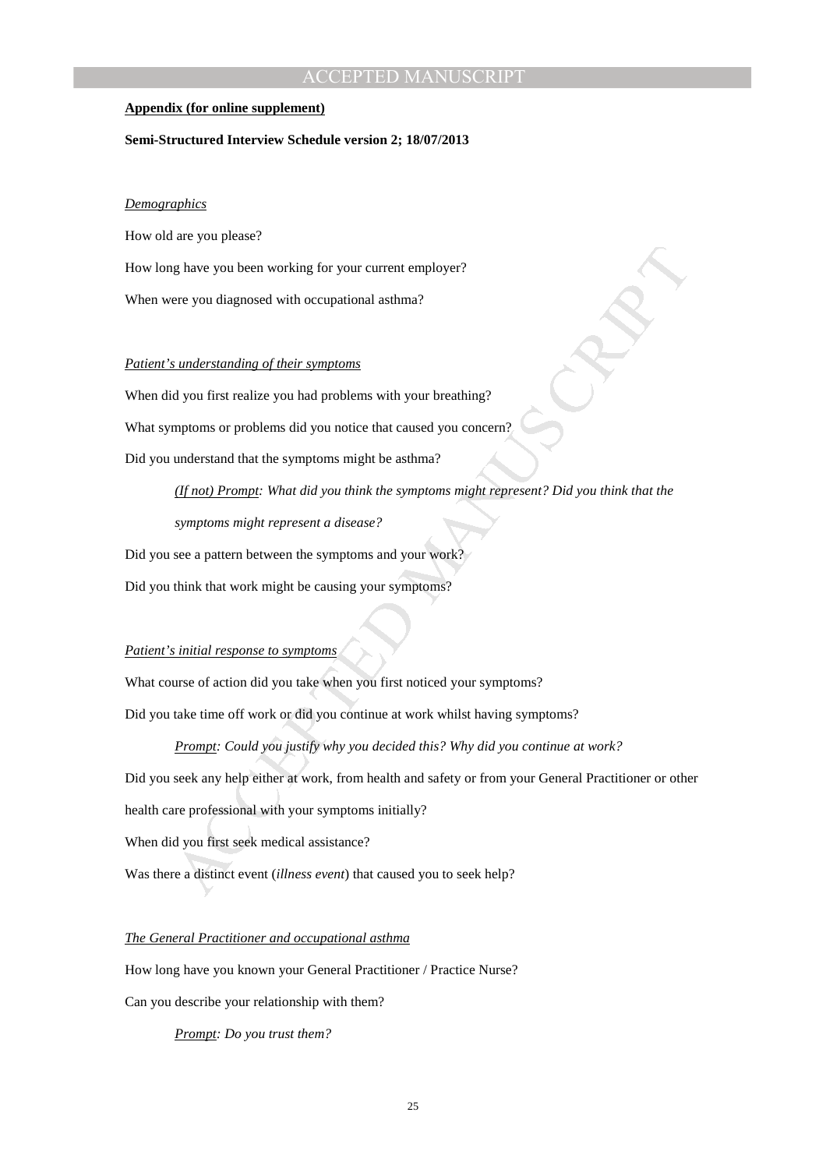# **CCEPTED MANU**

### **Appendix (for online supplement)**

### **Semi-Structured Interview Schedule version 2; 18/07/2013**

# *Demographics*

How old are you please? How long have you been working for your current employer? When were you diagnosed with occupational asthma?

# *Patient's understanding of their symptoms*

When did you first realize you had problems with your breathing?

What symptoms or problems did you notice that caused you concern?

Did you understand that the symptoms might be asthma?

*(If not) Prompt: What did you think the symptoms might represent? Did you think that the symptoms might represent a disease?*

Did you see a pattern between the symptoms and your work?

Did you think that work might be causing your symptoms?

## *Patient's initial response to symptoms*

What course of action did you take when you first noticed your symptoms?

Did you take time off work or did you continue at work whilst having symptoms?

Ig have you been working for your current employer?<br>
ere you diagnosed with occupational ashma?<br>
standerstanding of their symptoms<br>
d you first realize you had problems with your breathing?<br>
upderstand that the symptoms mi *Prompt: Could you justify why you decided this? Why did you continue at work?* Did you seek any help either at work, from health and safety or from your General Practitioner or other health care professional with your symptoms initially? When did you first seek medical assistance?

Was there a distinct event (*illness event*) that caused you to seek help?

# *The General Practitioner and occupational asthma*

How long have you known your General Practitioner / Practice Nurse?

Can you describe your relationship with them?

*Prompt: Do you trust them?*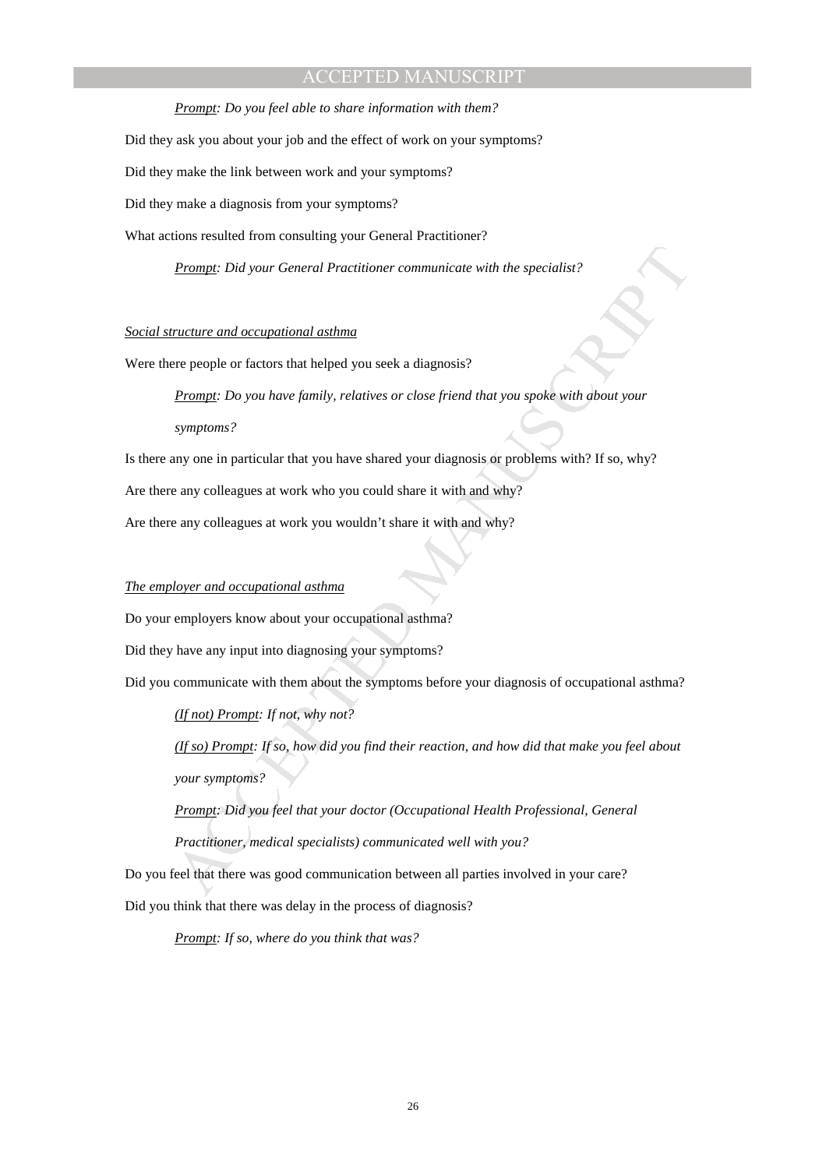*Prompt: Do you feel able to share information with them?*  Did they ask you about your job and the effect of work on your symptoms? Did they make the link between work and your symptoms? Did they make a diagnosis from your symptoms? What actions resulted from consulting your General Practitioner?

*Prompt: Did your General Practitioner communicate with the specialist?* 

# *Social structure and occupational asthma*

Were there people or factors that helped you seek a diagnosis?

**Example Did your General Practitioner communicate with the specialist?**<br> **Practure and occupational asthma**<br>
arcs people or fuctors that helped you seek a diagnosis?<br> **Prample Do you have fumily, relatives or close friend** *Prompt: Do you have family, relatives or close friend that you spoke with about your symptoms?* 

Is there any one in particular that you have shared your diagnosis or problems with? If so, why?

Are there any colleagues at work who you could share it with and why?

Are there any colleagues at work you wouldn't share it with and why?

# *The employer and occupational asthma*

Do your employers know about your occupational asthma?

Did they have any input into diagnosing your symptoms?

Did you communicate with them about the symptoms before your diagnosis of occupational asthma?

*(If not) Prompt: If not, why not?* 

*(If so) Prompt: If so, how did you find their reaction, and how did that make you feel about your symptoms?* 

*Prompt: Did you feel that your doctor (Occupational Health Professional, General Practitioner, medical specialists) communicated well with you?* 

Do you feel that there was good communication between all parties involved in your care? Did you think that there was delay in the process of diagnosis?

*Prompt: If so, where do you think that was?*